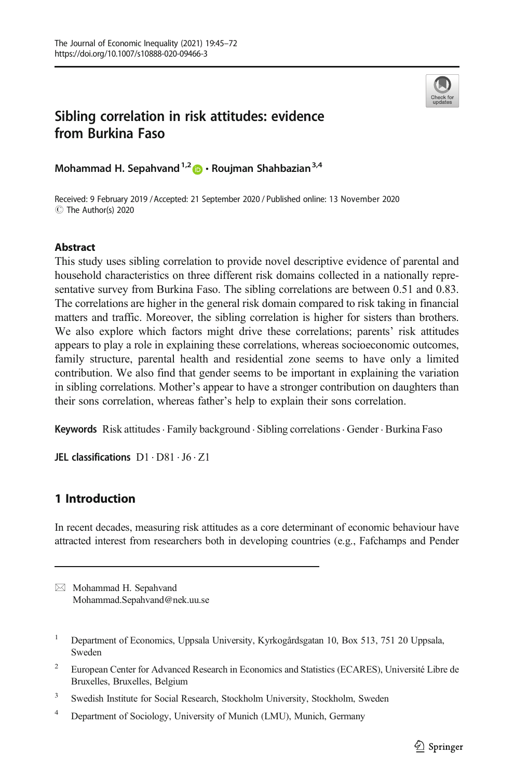

# Sibling correlation in risk attitudes: evidence from Burkina Faso

Mohammad H. Sepahvand<sup>1,2</sup>  $\bullet$  Roujman Shahbazian<sup>3,4</sup>

Received: 9 February 2019 / Accepted: 21 September 2020 / Published online: 13 November 2020C The Author(s) 2020

## **Abstract**

This study uses sibling correlation to provide novel descriptive evidence of parental and household characteristics on three different risk domains collected in a nationally representative survey from Burkina Faso. The sibling correlations are between 0.51 and 0.83. The correlations are higher in the general risk domain compared to risk taking in financial matters and traffic. Moreover, the sibling correlation is higher for sisters than brothers. We also explore which factors might drive these correlations; parents' risk attitudes appears to play a role in explaining these correlations, whereas socioeconomic outcomes, family structure, parental health and residential zone seems to have only a limited contribution. We also find that gender seems to be important in explaining the variation in sibling correlations. Mother's appear to have a stronger contribution on daughters than their sons correlation, whereas father's help to explain their sons correlation.

Keywords Risk attitudes. Family background . Sibling correlations. Gender . Burkina Faso

JEL classifications D1 . D81 .J6 . Z1

# 1 Introduction

In recent decades, measuring risk attitudes as a core determinant of economic behaviour have attracted interest from researchers both in developing countries (e.g., Fafchamps and Pender

 $\boxtimes$  Mohammad H. Sepahvand [Mohammad.Sepahvand@nek.uu.se](mailto:Mohammad.Sepahvand@nek.uu.se)

- <sup>1</sup> Department of Economics, Uppsala University, Kyrkogårdsgatan 10, Box 513, 751 20 Uppsala, Sweden
- <sup>2</sup> European Center for Advanced Research in Economics and Statistics (ECARES), Université Libre de Bruxelles, Bruxelles, Belgium
- <sup>3</sup> Swedish Institute for Social Research, Stockholm University, Stockholm, Sweden
- <sup>4</sup> Department of Sociology, University of Munich (LMU), Munich, Germany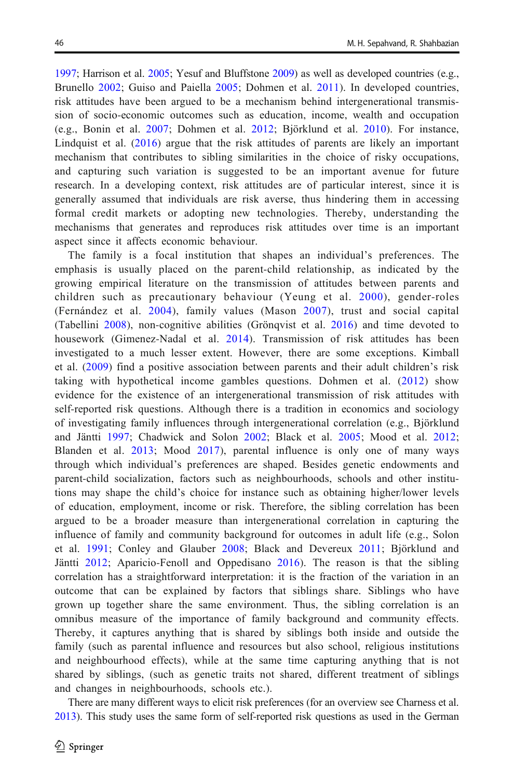[1997](#page-26-0); Harrison et al. [2005](#page-26-0); Yesuf and Bluffstone [2009\)](#page-27-0) as well as developed countries (e.g., Brunello [2002;](#page-25-0) Guiso and Paiella [2005;](#page-26-0) Dohmen et al. [2011](#page-25-0)). In developed countries, risk attitudes have been argued to be a mechanism behind intergenerational transmission of socio-economic outcomes such as education, income, wealth and occupation (e.g., Bonin et al. [2007](#page-25-0); Dohmen et al. [2012](#page-25-0); Björklund et al. [2010](#page-25-0)). For instance, Lindquist et al. [\(2016\)](#page-26-0) argue that the risk attitudes of parents are likely an important mechanism that contributes to sibling similarities in the choice of risky occupations, and capturing such variation is suggested to be an important avenue for future research. In a developing context, risk attitudes are of particular interest, since it is generally assumed that individuals are risk averse, thus hindering them in accessing formal credit markets or adopting new technologies. Thereby, understanding the mechanisms that generates and reproduces risk attitudes over time is an important aspect since it affects economic behaviour.

The family is a focal institution that shapes an individual's preferences. The emphasis is usually placed on the parent-child relationship, as indicated by the growing empirical literature on the transmission of attitudes between parents and children such as precautionary behaviour (Yeung et al. [2000\)](#page-27-0), gender-roles (Fernández et al. [2004](#page-26-0)), family values (Mason [2007\)](#page-26-0), trust and social capital (Tabellini [2008](#page-27-0)), non-cognitive abilities (Grönqvist et al. [2016](#page-26-0)) and time devoted to housework (Gimenez-Nadal et al. [2014](#page-26-0)). Transmission of risk attitudes has been investigated to a much lesser extent. However, there are some exceptions. Kimball et al. ([2009\)](#page-26-0) find a positive association between parents and their adult children's risk taking with hypothetical income gambles questions. Dohmen et al. [\(2012](#page-25-0)) show evidence for the existence of an intergenerational transmission of risk attitudes with self-reported risk questions. Although there is a tradition in economics and sociology of investigating family influences through intergenerational correlation (e.g., Björklund and Jäntti [1997;](#page-24-0) Chadwick and Solon [2002](#page-25-0); Black et al. [2005;](#page-25-0) Mood et al. [2012](#page-27-0); Blanden et al. [2013;](#page-25-0) Mood [2017](#page-26-0)), parental influence is only one of many ways through which individual's preferences are shaped. Besides genetic endowments and parent-child socialization, factors such as neighbourhoods, schools and other institutions may shape the child's choice for instance such as obtaining higher/lower levels of education, employment, income or risk. Therefore, the sibling correlation has been argued to be a broader measure than intergenerational correlation in capturing the influence of family and community background for outcomes in adult life (e.g., Solon et al. [1991](#page-27-0); Conley and Glauber [2008](#page-25-0); Black and Devereux [2011](#page-25-0); Björklund and Jäntti [2012](#page-25-0); Aparicio-Fenoll and Oppedisano [2016](#page-24-0)). The reason is that the sibling correlation has a straightforward interpretation: it is the fraction of the variation in an outcome that can be explained by factors that siblings share. Siblings who have grown up together share the same environment. Thus, the sibling correlation is an omnibus measure of the importance of family background and community effects. Thereby, it captures anything that is shared by siblings both inside and outside the family (such as parental influence and resources but also school, religious institutions and neighbourhood effects), while at the same time capturing anything that is not shared by siblings, (such as genetic traits not shared, different treatment of siblings and changes in neighbourhoods, schools etc.).

There are many different ways to elicit risk preferences (for an overview see Charness et al. [2013](#page-25-0)). This study uses the same form of self-reported risk questions as used in the German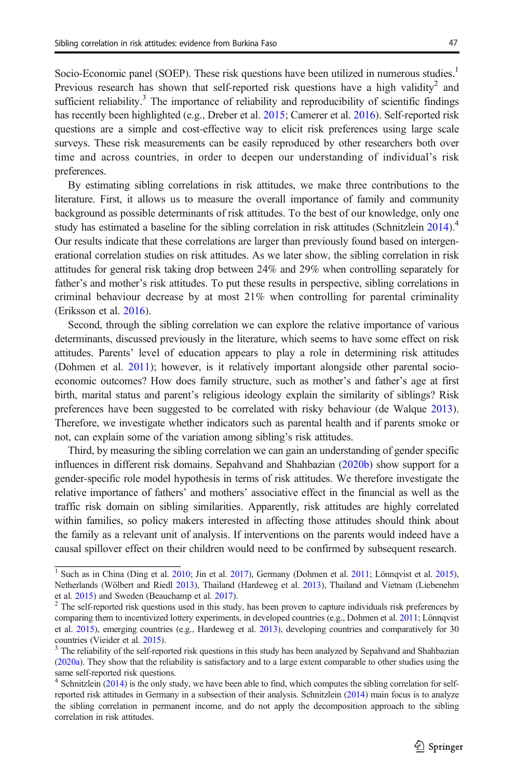Socio-Economic panel (SOEP). These risk questions have been utilized in numerous studies.<sup>1</sup> Previous research has shown that self-reported risk questions have a high validity<sup>2</sup> and sufficient reliability. $3$  The importance of reliability and reproducibility of scientific findings has recently been highlighted (e.g., Dreber et al. [2015;](#page-25-0) Camerer et al. [2016](#page-25-0)). Self-reported risk questions are a simple and cost-effective way to elicit risk preferences using large scale surveys. These risk measurements can be easily reproduced by other researchers both over time and across countries, in order to deepen our understanding of individual's risk preferences.

By estimating sibling correlations in risk attitudes, we make three contributions to the literature. First, it allows us to measure the overall importance of family and community background as possible determinants of risk attitudes. To the best of our knowledge, only one study has estimated a baseline for the sibling correlation in risk attitudes (Schnitzlein  $2014$ ).<sup>4</sup> Our results indicate that these correlations are larger than previously found based on intergenerational correlation studies on risk attitudes. As we later show, the sibling correlation in risk attitudes for general risk taking drop between 24% and 29% when controlling separately for father's and mother's risk attitudes. To put these results in perspective, sibling correlations in criminal behaviour decrease by at most 21% when controlling for parental criminality (Eriksson et al. [2016](#page-26-0)).

Second, through the sibling correlation we can explore the relative importance of various determinants, discussed previously in the literature, which seems to have some effect on risk attitudes. Parents' level of education appears to play a role in determining risk attitudes (Dohmen et al. [2011](#page-25-0)); however, is it relatively important alongside other parental socioeconomic outcomes? How does family structure, such as mother's and father's age at first birth, marital status and parent's religious ideology explain the similarity of siblings? Risk preferences have been suggested to be correlated with risky behaviour (de Walque [2013](#page-25-0)). Therefore, we investigate whether indicators such as parental health and if parents smoke or not, can explain some of the variation among sibling's risk attitudes.

Third, by measuring the sibling correlation we can gain an understanding of gender specific influences in different risk domains. Sepahvand and Shahbazian ([2020b\)](#page-27-0) show support for a gender-specific role model hypothesis in terms of risk attitudes. We therefore investigate the relative importance of fathers' and mothers' associative effect in the financial as well as the traffic risk domain on sibling similarities. Apparently, risk attitudes are highly correlated within families, so policy makers interested in affecting those attitudes should think about the family as a relevant unit of analysis. If interventions on the parents would indeed have a causal spillover effect on their children would need to be confirmed by subsequent research.

<sup>&</sup>lt;sup>1</sup> Such as in China (Ding et al. [2010;](#page-25-0) Jin et al. [2017\)](#page-26-0), Germany (Dohmen et al. [2011](#page-25-0); Lönnqvist et al. [2015](#page-26-0)), Netherlands (Wölbert and Riedl [2013](#page-27-0)), Thailand (Hardeweg et al. [2013\)](#page-26-0), Thailand and Vietnam (Liebenehm et al. [2015\)](#page-26-0) and Sweden (Beauchamp et al. [2017](#page-24-0)).<br><sup>2</sup> The self-reported risk questions used in this study, has been proven to capture individuals risk preferences by

comparing them to incentivized lottery experiments, in developed countries (e.g., Dohmen et al. [2011](#page-25-0); Lönnqvist et al. [2015\)](#page-26-0), emerging countries (e.g., Hardeweg et al. [2013](#page-26-0)), developing countries and comparatively for 30 countries (Vieider et al. [2015\)](#page-27-0).<br><sup>3</sup> The reliability of the self-reported risk questions in this study has been analyzed by Sepahvand and Shahbazian

[<sup>\(2020</sup>a](#page-27-0)). They show that the reliability is satisfactory and to a large extent comparable to other studies using the same self-reported risk questions.

Schnitzlein ([2014](#page-27-0)) is the only study, we have been able to find, which computes the sibling correlation for selfreported risk attitudes in Germany in a subsection of their analysis. Schnitzlein ([2014](#page-27-0)) main focus is to analyze the sibling correlation in permanent income, and do not apply the decomposition approach to the sibling correlation in risk attitudes.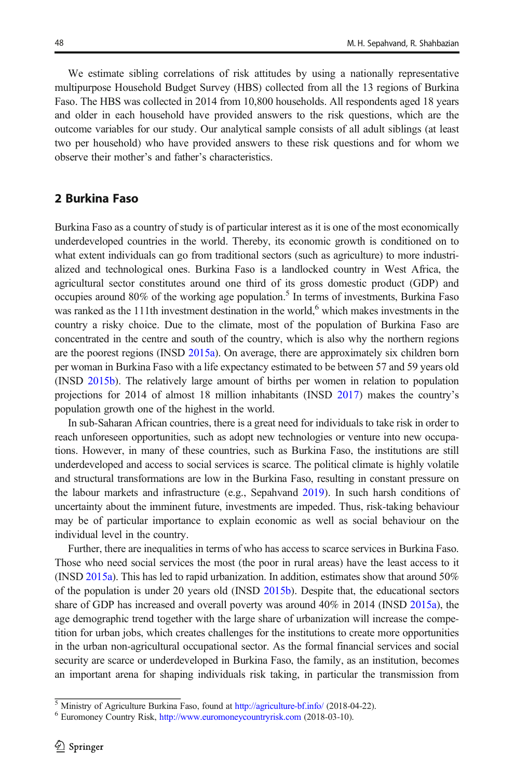We estimate sibling correlations of risk attitudes by using a nationally representative multipurpose Household Budget Survey (HBS) collected from all the 13 regions of Burkina Faso. The HBS was collected in 2014 from 10,800 households. All respondents aged 18 years and older in each household have provided answers to the risk questions, which are the outcome variables for our study. Our analytical sample consists of all adult siblings (at least two per household) who have provided answers to these risk questions and for whom we observe their mother's and father's characteristics.

## 2 Burkina Faso

Burkina Faso as a country of study is of particular interest as it is one of the most economically underdeveloped countries in the world. Thereby, its economic growth is conditioned on to what extent individuals can go from traditional sectors (such as agriculture) to more industrialized and technological ones. Burkina Faso is a landlocked country in West Africa, the agricultural sector constitutes around one third of its gross domestic product (GDP) and occupies around 80% of the working age population.<sup>5</sup> In terms of investments, Burkina Faso was ranked as the 111th investment destination in the world,<sup>6</sup> which makes investments in the country a risky choice. Due to the climate, most of the population of Burkina Faso are concentrated in the centre and south of the country, which is also why the northern regions are the poorest regions (INSD [2015a\)](#page-26-0). On average, there are approximately six children born per woman in Burkina Faso with a life expectancy estimated to be between 57 and 59 years old (INSD [2015b](#page-26-0)). The relatively large amount of births per women in relation to population projections for 2014 of almost 18 million inhabitants (INSD [2017](#page-26-0)) makes the country's population growth one of the highest in the world.

In sub-Saharan African countries, there is a great need for individuals to take risk in order to reach unforeseen opportunities, such as adopt new technologies or venture into new occupations. However, in many of these countries, such as Burkina Faso, the institutions are still underdeveloped and access to social services is scarce. The political climate is highly volatile and structural transformations are low in the Burkina Faso, resulting in constant pressure on the labour markets and infrastructure (e.g., Sepahvand [2019](#page-27-0)). In such harsh conditions of uncertainty about the imminent future, investments are impeded. Thus, risk-taking behaviour may be of particular importance to explain economic as well as social behaviour on the individual level in the country.

Further, there are inequalities in terms of who has access to scarce services in Burkina Faso. Those who need social services the most (the poor in rural areas) have the least access to it (INSD [2015a\)](#page-26-0). This has led to rapid urbanization. In addition, estimates show that around 50% of the population is under 20 years old (INSD [2015b\)](#page-26-0). Despite that, the educational sectors share of GDP has increased and overall poverty was around 40% in 2014 (INSD [2015a](#page-26-0)), the age demographic trend together with the large share of urbanization will increase the competition for urban jobs, which creates challenges for the institutions to create more opportunities in the urban non-agricultural occupational sector. As the formal financial services and social security are scarce or underdeveloped in Burkina Faso, the family, as an institution, becomes an important arena for shaping individuals risk taking, in particular the transmission from

 $^5$  Ministry of Agriculture Burkina Faso, found at <http://agriculture-bf.info/> (2018-04-22).  $^6$  Euromoney Country Risk, <http://www.euromoneycountryrisk.com> (2018-03-10).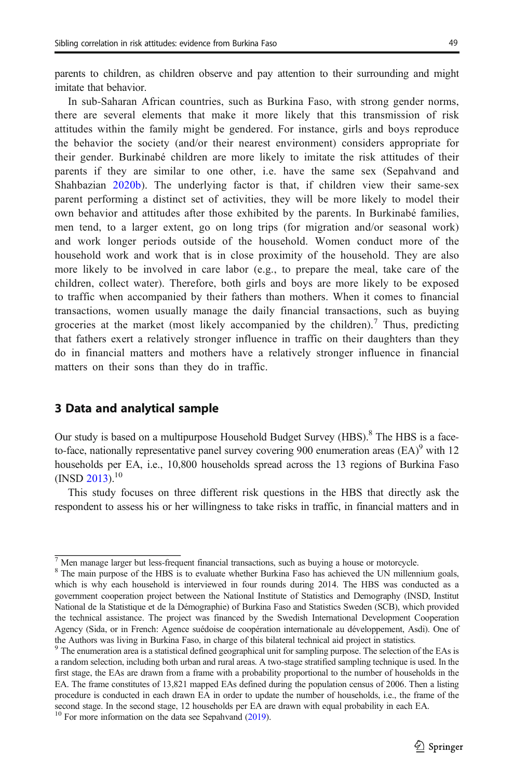parents to children, as children observe and pay attention to their surrounding and might imitate that behavior.

In sub-Saharan African countries, such as Burkina Faso, with strong gender norms, there are several elements that make it more likely that this transmission of risk attitudes within the family might be gendered. For instance, girls and boys reproduce the behavior the society (and/or their nearest environment) considers appropriate for their gender. Burkinabé children are more likely to imitate the risk attitudes of their parents if they are similar to one other, i.e. have the same sex (Sepahvand and Shahbazian [2020b\)](#page-27-0). The underlying factor is that, if children view their same-sex parent performing a distinct set of activities, they will be more likely to model their own behavior and attitudes after those exhibited by the parents. In Burkinabé families, men tend, to a larger extent, go on long trips (for migration and/or seasonal work) and work longer periods outside of the household. Women conduct more of the household work and work that is in close proximity of the household. They are also more likely to be involved in care labor (e.g., to prepare the meal, take care of the children, collect water). Therefore, both girls and boys are more likely to be exposed to traffic when accompanied by their fathers than mothers. When it comes to financial transactions, women usually manage the daily financial transactions, such as buying groceries at the market (most likely accompanied by the children).<sup>7</sup> Thus, predicting that fathers exert a relatively stronger influence in traffic on their daughters than they do in financial matters and mothers have a relatively stronger influence in financial matters on their sons than they do in traffic.

## 3 Data and analytical sample

Our study is based on a multipurpose Household Budget Survey (HBS).<sup>8</sup> The HBS is a faceto-face, nationally representative panel survey covering 900 enumeration areas (EA)<sup>9</sup> with 12 households per EA, i.e., 10,800 households spread across the 13 regions of Burkina Faso  $(INSD 2013).^{10}$  $(INSD 2013).^{10}$  $(INSD 2013).^{10}$ 

This study focuses on three different risk questions in the HBS that directly ask the respondent to assess his or her willingness to take risks in traffic, in financial matters and in

 $\frac{7}{7}$  Men manage larger but less-frequent financial transactions, such as buying a house or motorcycle.

<sup>&</sup>lt;sup>8</sup> The main purpose of the HBS is to evaluate whether Burkina Faso has achieved the UN millennium goals, which is why each household is interviewed in four rounds during 2014. The HBS was conducted as a government cooperation project between the National Institute of Statistics and Demography (INSD, Institut National de la Statistique et de la Démographie) of Burkina Faso and Statistics Sweden (SCB), which provided the technical assistance. The project was financed by the Swedish International Development Cooperation Agency (Sida, or in French: Agence suédoise de coopération internationale au développement, Asdi). One of the Authors was living in Burkina Faso, in charge of this bilateral technical aid project in statistics.

<sup>&</sup>lt;sup>9</sup> The enumeration area is a statistical defined geographical unit for sampling purpose. The selection of the EAs is a random selection, including both urban and rural areas. A two-stage stratified sampling technique is used. In the first stage, the EAs are drawn from a frame with a probability proportional to the number of households in the EA. The frame constitutes of 13,821 mapped EAs defined during the population census of 2006. Then a listing procedure is conducted in each drawn EA in order to update the number of households, i.e., the frame of the second stage. In the second stage, 12 households per EA are drawn with equal probability in each EA.

<sup>&</sup>lt;sup>10</sup> For more information on the data see Sepahvand [\(2019\)](#page-27-0).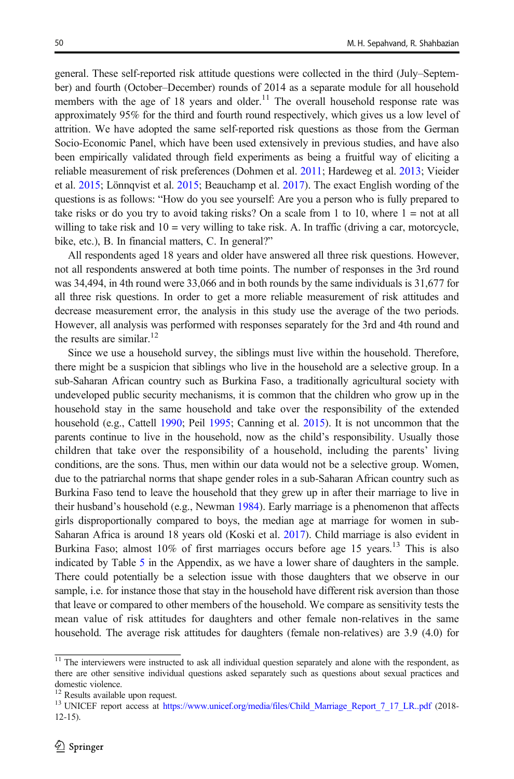general. These self-reported risk attitude questions were collected in the third (July–September) and fourth (October–December) rounds of 2014 as a separate module for all household members with the age of 18 years and older.<sup>11</sup> The overall household response rate was approximately 95% for the third and fourth round respectively, which gives us a low level of attrition. We have adopted the same self-reported risk questions as those from the German Socio-Economic Panel, which have been used extensively in previous studies, and have also been empirically validated through field experiments as being a fruitful way of eliciting a reliable measurement of risk preferences (Dohmen et al. [2011](#page-25-0); Hardeweg et al. [2013](#page-26-0); Vieider et al. [2015;](#page-27-0) Lönnqvist et al. [2015](#page-26-0); Beauchamp et al. [2017](#page-24-0)). The exact English wording of the questions is as follows: "How do you see yourself: Are you a person who is fully prepared to take risks or do you try to avoid taking risks? On a scale from 1 to 10, where  $1 = \text{not at all}$ willing to take risk and  $10 = \text{very willing to take risk. A. In traffic (driving a car, motorcycle,$ bike, etc.), B. In financial matters, C. In general?"

All respondents aged 18 years and older have answered all three risk questions. However, not all respondents answered at both time points. The number of responses in the 3rd round was 34,494, in 4th round were 33,066 and in both rounds by the same individuals is 31,677 for all three risk questions. In order to get a more reliable measurement of risk attitudes and decrease measurement error, the analysis in this study use the average of the two periods. However, all analysis was performed with responses separately for the 3rd and 4th round and the results are similar. $12$ 

Since we use a household survey, the siblings must live within the household. Therefore, there might be a suspicion that siblings who live in the household are a selective group. In a sub-Saharan African country such as Burkina Faso, a traditionally agricultural society with undeveloped public security mechanisms, it is common that the children who grow up in the household stay in the same household and take over the responsibility of the extended household (e.g., Cattell [1990;](#page-25-0) Peil [1995](#page-27-0); Canning et al. [2015\)](#page-25-0). It is not uncommon that the parents continue to live in the household, now as the child's responsibility. Usually those children that take over the responsibility of a household, including the parents' living conditions, are the sons. Thus, men within our data would not be a selective group. Women, due to the patriarchal norms that shape gender roles in a sub-Saharan African country such as Burkina Faso tend to leave the household that they grew up in after their marriage to live in their husband's household (e.g., Newman [1984\)](#page-27-0). Early marriage is a phenomenon that affects girls disproportionally compared to boys, the median age at marriage for women in sub-Saharan Africa is around 18 years old (Koski et al. [2017](#page-26-0)). Child marriage is also evident in Burkina Faso; almost  $10\%$  of first marriages occurs before age 15 years.<sup>13</sup> This is also indicated by Table [5](#page-21-0) in the Appendix, as we have a lower share of daughters in the sample. There could potentially be a selection issue with those daughters that we observe in our sample, i.e. for instance those that stay in the household have different risk aversion than those that leave or compared to other members of the household. We compare as sensitivity tests the mean value of risk attitudes for daughters and other female non-relatives in the same household. The average risk attitudes for daughters (female non-relatives) are 3.9 (4.0) for

<sup>&</sup>lt;sup>11</sup> The interviewers were instructed to ask all individual question separately and alone with the respondent, as there are other sensitive individual questions asked separately such as questions about sexual practices and domestic violence.<br><sup>12</sup> Results available upon request.

<sup>&</sup>lt;sup>13</sup> UNICEF report access at [https://www.unicef.org/media/files/Child\\_Marriage\\_Report\\_7\\_17\\_LR..pdf](https://www.unicef.org/media/files/Child_Marriage_Report_7_17_LR..pdf) (2018-12-15).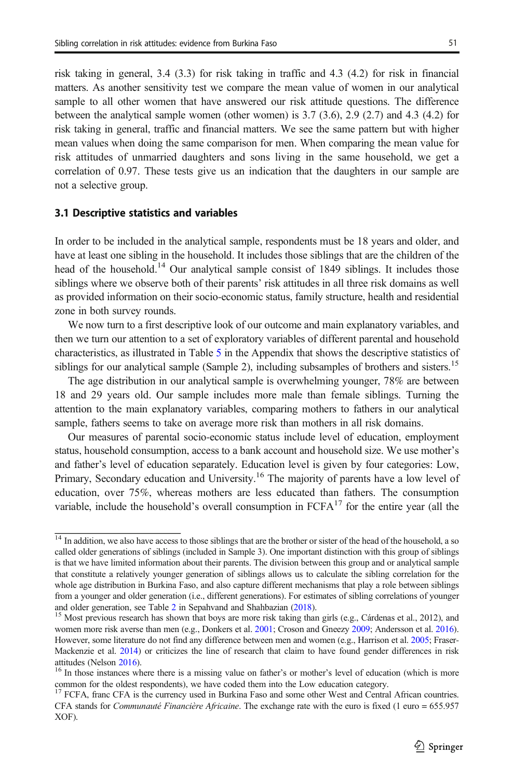risk taking in general, 3.4 (3.3) for risk taking in traffic and 4.3 (4.2) for risk in financial matters. As another sensitivity test we compare the mean value of women in our analytical sample to all other women that have answered our risk attitude questions. The difference between the analytical sample women (other women) is  $3.7$   $(3.6)$ ,  $2.9$   $(2.7)$  and  $4.3$   $(4.2)$  for risk taking in general, traffic and financial matters. We see the same pattern but with higher mean values when doing the same comparison for men. When comparing the mean value for risk attitudes of unmarried daughters and sons living in the same household, we get a correlation of 0.97. These tests give us an indication that the daughters in our sample are not a selective group.

#### 3.1 Descriptive statistics and variables

In order to be included in the analytical sample, respondents must be 18 years and older, and have at least one sibling in the household. It includes those siblings that are the children of the head of the household.<sup>14</sup> Our analytical sample consist of 1849 siblings. It includes those siblings where we observe both of their parents' risk attitudes in all three risk domains as well as provided information on their socio-economic status, family structure, health and residential zone in both survey rounds.

We now turn to a first descriptive look of our outcome and main explanatory variables, and then we turn our attention to a set of exploratory variables of different parental and household characteristics, as illustrated in Table [5](#page-21-0) in the Appendix that shows the descriptive statistics of siblings for our analytical sample (Sample 2), including subsamples of brothers and sisters.<sup>15</sup>

The age distribution in our analytical sample is overwhelming younger, 78% are between 18 and 29 years old. Our sample includes more male than female siblings. Turning the attention to the main explanatory variables, comparing mothers to fathers in our analytical sample, fathers seems to take on average more risk than mothers in all risk domains.

Our measures of parental socio-economic status include level of education, employment status, household consumption, access to a bank account and household size. We use mother's and father's level of education separately. Education level is given by four categories: Low, Primary, Secondary education and University.<sup>16</sup> The majority of parents have a low level of education, over 75%, whereas mothers are less educated than fathers. The consumption variable, include the household's overall consumption in  $FCFA<sup>17</sup>$  for the entire year (all the

 $\frac{14}{14}$  In addition, we also have access to those siblings that are the brother or sister of the head of the household, a so called older generations of siblings (included in Sample 3). One important distinction with this group of siblings is that we have limited information about their parents. The division between this group and or analytical sample that constitute a relatively younger generation of siblings allows us to calculate the sibling correlation for the whole age distribution in Burkina Faso, and also capture different mechanisms that play a role between siblings from a younger and older generation (i.e., different generations). For estimates of sibling correlations of younger and older generation, see Table [2](#page-14-0) in Sepahvand and Shahbazian [\(2018\)](#page-27-0). <sup>15</sup> Most previous research has shown that boys are more risk taking than girls (e.g., Cárdenas et al., 2012), and

women more risk averse than men (e.g., Donkers et al. [2001;](#page-25-0) Croson and Gneezy [2009](#page-25-0); Andersson et al. [2016](#page-24-0)). However, some literature do not find any difference between men and women (e.g., Harrison et al. [2005](#page-26-0); Fraser-Mackenzie et al. [2014](#page-26-0)) or criticizes the line of research that claim to have found gender differences in risk attitudes (Nelson [2016\)](#page-27-0). <sup>16</sup> In those instances where there is a missing value on father's or mother's level of education (which is more

common for the oldest respondents), we have coded them into the Low education category.

<sup>&</sup>lt;sup>17</sup> FCFA, franc CFA is the currency used in Burkina Faso and some other West and Central African countries. CFA stands for Communauté Financière Africaine. The exchange rate with the euro is fixed (1 euro = 655.957 XOF).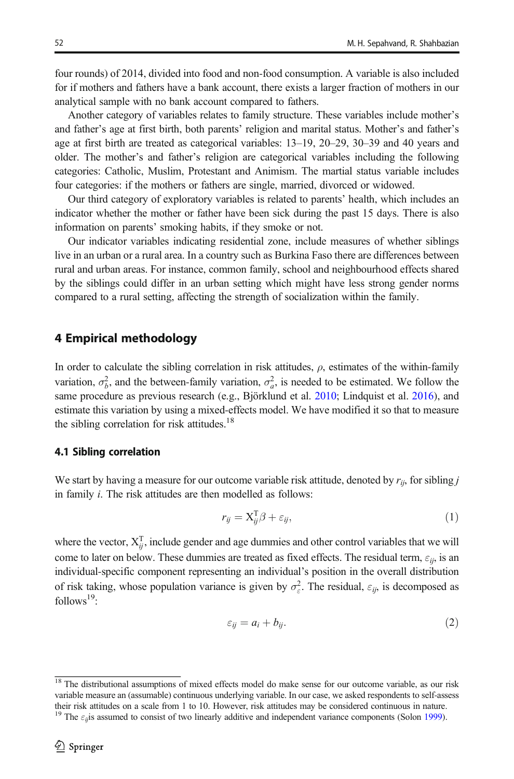<span id="page-7-0"></span>four rounds) of 2014, divided into food and non-food consumption. A variable is also included for if mothers and fathers have a bank account, there exists a larger fraction of mothers in our analytical sample with no bank account compared to fathers.

Another category of variables relates to family structure. These variables include mother's and father's age at first birth, both parents' religion and marital status. Mother's and father's age at first birth are treated as categorical variables: 13–19, 20–29, 30–39 and 40 years and older. The mother's and father's religion are categorical variables including the following categories: Catholic, Muslim, Protestant and Animism. The martial status variable includes four categories: if the mothers or fathers are single, married, divorced or widowed.

Our third category of exploratory variables is related to parents' health, which includes an indicator whether the mother or father have been sick during the past 15 days. There is also information on parents' smoking habits, if they smoke or not.

Our indicator variables indicating residential zone, include measures of whether siblings live in an urban or a rural area. In a country such as Burkina Faso there are differences between rural and urban areas. For instance, common family, school and neighbourhood effects shared by the siblings could differ in an urban setting which might have less strong gender norms compared to a rural setting, affecting the strength of socialization within the family.

## 4 Empirical methodology

In order to calculate the sibling correlation in risk attitudes,  $\rho$ , estimates of the within-family variation,  $\sigma_b^2$ , and the between-family variation,  $\sigma_a^2$ , is needed to be estimated. We follow the same procedure as previous research (e.g., Björklund et al. [2010;](#page-25-0) Lindquist et al. [2016\)](#page-26-0), and estimate this variation by using a mixed-effects model. We have modified it so that to measure the sibling correlation for risk attitudes.<sup>18</sup>

#### 4.1 Sibling correlation

We start by having a measure for our outcome variable risk attitude, denoted by  $r_{ij}$ , for sibling j in family i. The risk attitudes are then modelled as follows:

$$
r_{ij} = \mathbf{X}_{ij}^{\mathrm{T}} \boldsymbol{\beta} + \varepsilon_{ij},\tag{1}
$$

where the vector,  $X_{ij}^T$ , include gender and age dummies and other control variables that we will come to later on below. These dummies are treated as fixed effects. The residual term,  $\varepsilon_{ii}$ , is an individual-specific component representing an individual's position in the overall distribution of risk taking, whose population variance is given by  $\sigma_{\varepsilon}^2$ . The residual,  $\varepsilon_{ij}$ , is decomposed as  $follows<sup>19</sup>$ 

$$
\varepsilon_{ij} = a_i + b_{ij}.\tag{2}
$$

<sup>&</sup>lt;sup>18</sup> The distributional assumptions of mixed effects model do make sense for our outcome variable, as our risk variable measure an (assumable) continuous underlying variable. In our case, we asked respondents to self-assess their risk attitudes on a scale from 1 to 10. However, risk attitudes may be considered continuous in nature.

<sup>&</sup>lt;sup>19</sup> The  $\varepsilon_{ij}$  assumed to consist of two linearly additive and independent variance components (Solon [1999](#page-27-0)).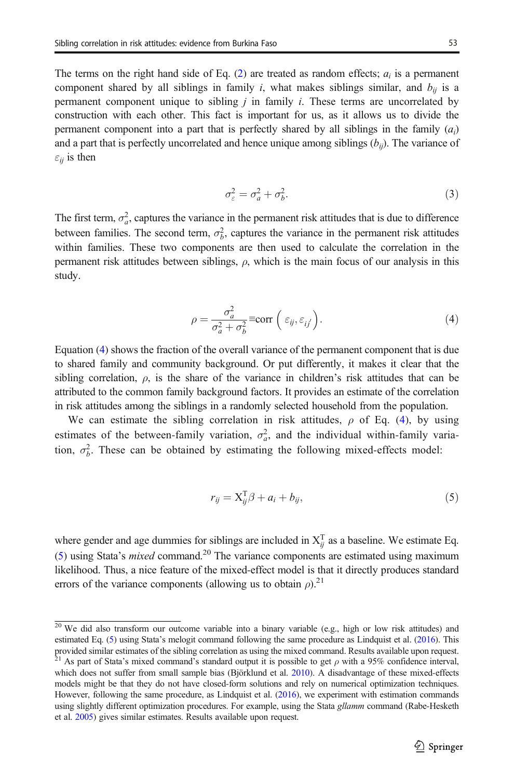<span id="page-8-0"></span>The terms on the right hand side of Eq. [\(2\)](#page-7-0) are treated as random effects;  $a_i$  is a permanent component shared by all siblings in family i, what makes siblings similar, and  $b_{ii}$  is a permanent component unique to sibling  $j$  in family  $i$ . These terms are uncorrelated by construction with each other. This fact is important for us, as it allows us to divide the permanent component into a part that is perfectly shared by all siblings in the family  $(a_i)$ and a part that is perfectly uncorrelated and hence unique among siblings  $(b_{ii})$ . The variance of  $\varepsilon_{ii}$  is then

$$
\sigma_{\varepsilon}^2 = \sigma_a^2 + \sigma_b^2. \tag{3}
$$

The first term,  $\sigma_a^2$ , captures the variance in the permanent risk attitudes that is due to difference between families. The second term,  $\sigma_b^2$ , captures the variance in the permanent risk attitudes within families. These two components are then used to calculate the correlation in the permanent risk attitudes between siblings,  $\rho$ , which is the main focus of our analysis in this study.

$$
\rho = \frac{\sigma_a^2}{\sigma_a^2 + \sigma_b^2} \equiv \text{corr}\left(\varepsilon_{ij}, \varepsilon_{ij'}\right). \tag{4}
$$

Equation (4) shows the fraction of the overall variance of the permanent component that is due to shared family and community background. Or put differently, it makes it clear that the sibling correlation,  $\rho$ , is the share of the variance in children's risk attitudes that can be attributed to the common family background factors. It provides an estimate of the correlation in risk attitudes among the siblings in a randomly selected household from the population.

We can estimate the sibling correlation in risk attitudes,  $\rho$  of Eq. (4), by using estimates of the between-family variation,  $\sigma_a^2$ , and the individual within-family variation,  $\sigma_b^2$ . These can be obtained by estimating the following mixed-effects model:

$$
r_{ij} = \mathbf{X}_{ij}^{\mathrm{T}} \boldsymbol{\beta} + a_i + b_{ij}, \qquad (5)
$$

where gender and age dummies for siblings are included in  $X_{ij}^T$  as a baseline. We estimate Eq.  $(5)$  using Stata's *mixed* command.<sup>20</sup> The variance components are estimated using maximum likelihood. Thus, a nice feature of the mixed-effect model is that it directly produces standard errors of the variance components (allowing us to obtain  $\rho$ ).<sup>21</sup>

 $20$  We did also transform our outcome variable into a binary variable (e.g., high or low risk attitudes) and estimated Eq. (5) using Stata's melogit command following the same procedure as Lindquist et al. ([2016](#page-26-0)). This provided similar estimates of the sibling correlation as using the mixed command. Results available upon request.<br><sup>21</sup> As part of Stata's mixed command's start in the mixed command. Results available upon request.

As part of Stata's mixed command's standard output it is possible to get  $\rho$  with a 95% confidence interval, which does not suffer from small sample bias (Björklund et al. [2010\)](#page-25-0). A disadvantage of these mixed-effects models might be that they do not have closed-form solutions and rely on numerical optimization techniques. However, following the same procedure, as Lindquist et al. ([2016](#page-26-0)), we experiment with estimation commands using slightly different optimization procedures. For example, using the Stata gllamm command (Rabe-Hesketh et al. [2005\)](#page-27-0) gives similar estimates. Results available upon request.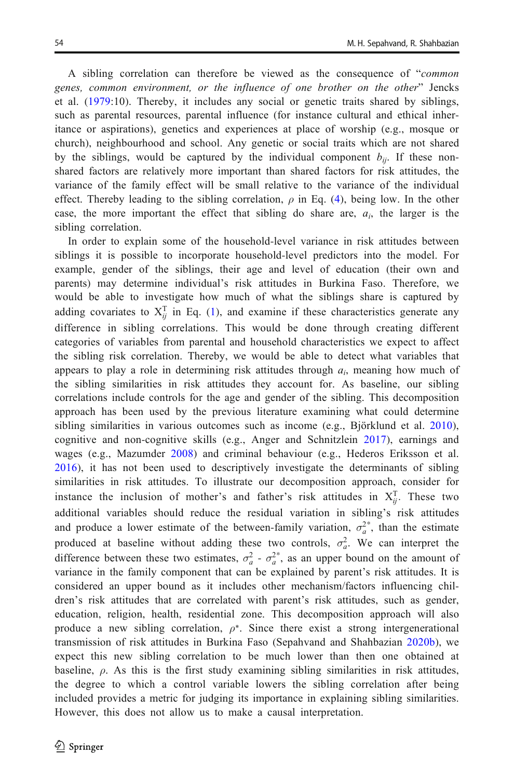A sibling correlation can therefore be viewed as the consequence of "common genes, common environment, or the influence of one brother on the other" Jencks et al. [\(1979:](#page-26-0)10). Thereby, it includes any social or genetic traits shared by siblings, such as parental resources, parental influence (for instance cultural and ethical inheritance or aspirations), genetics and experiences at place of worship (e.g., mosque or church), neighbourhood and school. Any genetic or social traits which are not shared by the siblings, would be captured by the individual component  $b_{ii}$ . If these nonshared factors are relatively more important than shared factors for risk attitudes, the variance of the family effect will be small relative to the variance of the individual effect. Thereby leading to the sibling correlation,  $\rho$  in Eq. [\(4\)](#page-8-0), being low. In the other case, the more important the effect that sibling do share are,  $a_i$ , the larger is the sibling correlation.

In order to explain some of the household-level variance in risk attitudes between siblings it is possible to incorporate household-level predictors into the model. For example, gender of the siblings, their age and level of education (their own and parents) may determine individual's risk attitudes in Burkina Faso. Therefore, we would be able to investigate how much of what the siblings share is captured by adding covariates to  $X_{ij}^T$  in Eq. ([1\)](#page-7-0), and examine if these characteristics generate any difference in sibling correlations. This would be done through creating different categories of variables from parental and household characteristics we expect to affect the sibling risk correlation. Thereby, we would be able to detect what variables that appears to play a role in determining risk attitudes through  $a_i$ , meaning how much of the sibling similarities in risk attitudes they account for. As baseline, our sibling correlations include controls for the age and gender of the sibling. This decomposition approach has been used by the previous literature examining what could determine sibling similarities in various outcomes such as income (e.g., Björklund et al. [2010](#page-25-0)), cognitive and non-cognitive skills (e.g., Anger and Schnitzlein [2017\)](#page-24-0), earnings and wages (e.g., Mazumder [2008](#page-26-0)) and criminal behaviour (e.g., Hederos Eriksson et al. [2016](#page-26-0)), it has not been used to descriptively investigate the determinants of sibling similarities in risk attitudes. To illustrate our decomposition approach, consider for instance the inclusion of mother's and father's risk attitudes in  $X_{ij}^T$ . These two additional variables should reduce the residual variation in sibling's risk attitudes and produce a lower estimate of the between-family variation,  $\sigma_a^2$ <sup>\*</sup>, than the estimate produced at baseline without adding these two controls,  $\sigma_a^2$ . We can interpret the difference between these two estimates,  $\sigma_a^2 - \sigma_a^2$ , as an upper bound on the amount of variance in the family component that can be explained by parent's risk attitudes. It is considered an upper bound as it includes other mechanism/factors influencing children's risk attitudes that are correlated with parent's risk attitudes, such as gender, education, religion, health, residential zone. This decomposition approach will also produce a new sibling correlation,  $\rho^*$ . Since there exist a strong intergenerational transmission of risk attitudes in Burkina Faso (Sepahvand and Shahbazian [2020b](#page-27-0)), we expect this new sibling correlation to be much lower than then one obtained at baseline,  $\rho$ . As this is the first study examining sibling similarities in risk attitudes, the degree to which a control variable lowers the sibling correlation after being included provides a metric for judging its importance in explaining sibling similarities. However, this does not allow us to make a causal interpretation.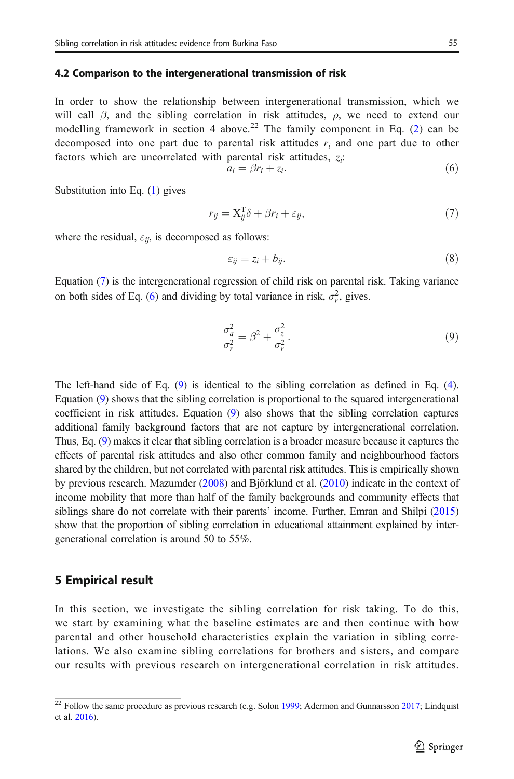#### <span id="page-10-0"></span>4.2 Comparison to the intergenerational transmission of risk

In order to show the relationship between intergenerational transmission, which we will call  $\beta$ , and the sibling correlation in risk attitudes,  $\rho$ , we need to extend our modelling framework in section 4 above.<sup>22</sup> The family component in Eq. ([2\)](#page-7-0) can be decomposed into one part due to parental risk attitudes  $r_i$  and one part due to other factors which are uncorrelated with parental risk attitudes,  $z_i$ :

$$
a_i = \beta r_i + z_i. \tag{6}
$$

Substitution into Eq. [\(1\)](#page-7-0) gives

$$
r_{ij} = \mathbf{X}_{ij}^{\mathrm{T}} \delta + \beta r_i + \varepsilon_{ij},\tag{7}
$$

where the residual,  $\varepsilon_{ii}$ , is decomposed as follows:

$$
\varepsilon_{ij} = z_i + b_{ij}.\tag{8}
$$

Equation (7) is the intergenerational regression of child risk on parental risk. Taking variance on both sides of Eq. (6) and dividing by total variance in risk,  $\sigma_r^2$ , gives.

$$
\frac{\sigma_a^2}{\sigma_r^2} = \beta^2 + \frac{\sigma_z^2}{\sigma_r^2}.
$$
\n(9)

The left-hand side of Eq. (9) is identical to the sibling correlation as defined in Eq. ([4](#page-8-0)). Equation (9) shows that the sibling correlation is proportional to the squared intergenerational coefficient in risk attitudes. Equation (9) also shows that the sibling correlation captures additional family background factors that are not capture by intergenerational correlation. Thus, Eq. (9) makes it clear that sibling correlation is a broader measure because it captures the effects of parental risk attitudes and also other common family and neighbourhood factors shared by the children, but not correlated with parental risk attitudes. This is empirically shown by previous research. Mazumder [\(2008\)](#page-26-0) and Björklund et al. ([2010](#page-25-0)) indicate in the context of income mobility that more than half of the family backgrounds and community effects that siblings share do not correlate with their parents' income. Further, Emran and Shilpi [\(2015\)](#page-26-0) show that the proportion of sibling correlation in educational attainment explained by intergenerational correlation is around 50 to 55%.

#### 5 Empirical result

In this section, we investigate the sibling correlation for risk taking. To do this, we start by examining what the baseline estimates are and then continue with how parental and other household characteristics explain the variation in sibling correlations. We also examine sibling correlations for brothers and sisters, and compare our results with previous research on intergenerational correlation in risk attitudes.

 $22$  Follow the same procedure as previous research (e.g. Solon [1999](#page-27-0); Adermon and Gunnarsson [2017](#page-24-0); Lindquist et al. [2016\)](#page-26-0).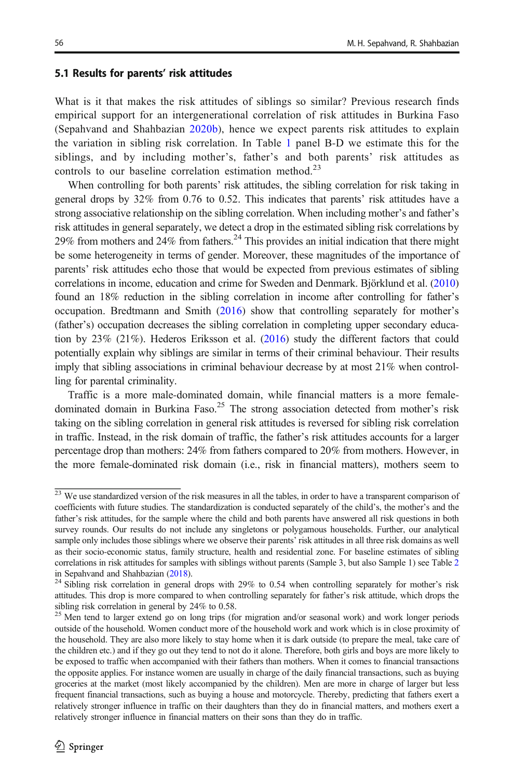#### 5.1 Results for parents' risk attitudes

What is it that makes the risk attitudes of siblings so similar? Previous research finds empirical support for an intergenerational correlation of risk attitudes in Burkina Faso (Sepahvand and Shahbazian [2020b](#page-27-0)), hence we expect parents risk attitudes to explain the variation in sibling risk correlation. In Table [1](#page-12-0) panel B-D we estimate this for the siblings, and by including mother's, father's and both parents' risk attitudes as controls to our baseline correlation estimation method.<sup>23</sup>

When controlling for both parents' risk attitudes, the sibling correlation for risk taking in general drops by 32% from 0.76 to 0.52. This indicates that parents' risk attitudes have a strong associative relationship on the sibling correlation. When including mother's and father's risk attitudes in general separately, we detect a drop in the estimated sibling risk correlations by 29% from mothers and 24% from fathers.<sup>24</sup> This provides an initial indication that there might be some heterogeneity in terms of gender. Moreover, these magnitudes of the importance of parents' risk attitudes echo those that would be expected from previous estimates of sibling correlations in income, education and crime for Sweden and Denmark. Björklund et al. [\(2010\)](#page-25-0) found an 18% reduction in the sibling correlation in income after controlling for father's occupation. Bredtmann and Smith [\(2016\)](#page-25-0) show that controlling separately for mother's (father's) occupation decreases the sibling correlation in completing upper secondary education by 23% (21%). Hederos Eriksson et al. ([2016](#page-26-0)) study the different factors that could potentially explain why siblings are similar in terms of their criminal behaviour. Their results imply that sibling associations in criminal behaviour decrease by at most 21% when controlling for parental criminality.

Traffic is a more male-dominated domain, while financial matters is a more femaledominated domain in Burkina Faso.<sup>25</sup> The strong association detected from mother's risk taking on the sibling correlation in general risk attitudes is reversed for sibling risk correlation in traffic. Instead, in the risk domain of traffic, the father's risk attitudes accounts for a larger percentage drop than mothers: 24% from fathers compared to 20% from mothers. However, in the more female-dominated risk domain (i.e., risk in financial matters), mothers seem to

 $\frac{23}{23}$  We use standardized version of the risk measures in all the tables, in order to have a transparent comparison of coefficients with future studies. The standardization is conducted separately of the child's, the mother's and the father's risk attitudes, for the sample where the child and both parents have answered all risk questions in both survey rounds. Our results do not include any singletons or polygamous households. Further, our analytical sample only includes those siblings where we observe their parents' risk attitudes in all three risk domains as well as their socio-economic status, family structure, health and residential zone. For baseline estimates of sibling correlations in risk attitudes for samples with siblings without parents (Sample 3, but also Sample 1) see Table [2](#page-14-0)

in Sepahvand and Shahbazian [\(2018](#page-27-0)). <sup>24</sup> Sibling risk correlation in general drops with 29% to 0.54 when controlling separately for mother's risk attitudes. This drop is more compared to when controlling separately for father's risk attitude, which drops the

sibling risk correlation in general by 24% to 0.58.<br><sup>25</sup> Men tend to larger extend go on long trips (for migration and/or seasonal work) and work longer periods outside of the household. Women conduct more of the household work and work which is in close proximity of the household. They are also more likely to stay home when it is dark outside (to prepare the meal, take care of the children etc.) and if they go out they tend to not do it alone. Therefore, both girls and boys are more likely to be exposed to traffic when accompanied with their fathers than mothers. When it comes to financial transactions the opposite applies. For instance women are usually in charge of the daily financial transactions, such as buying groceries at the market (most likely accompanied by the children). Men are more in charge of larger but less frequent financial transactions, such as buying a house and motorcycle. Thereby, predicting that fathers exert a relatively stronger influence in traffic on their daughters than they do in financial matters, and mothers exert a relatively stronger influence in financial matters on their sons than they do in traffic.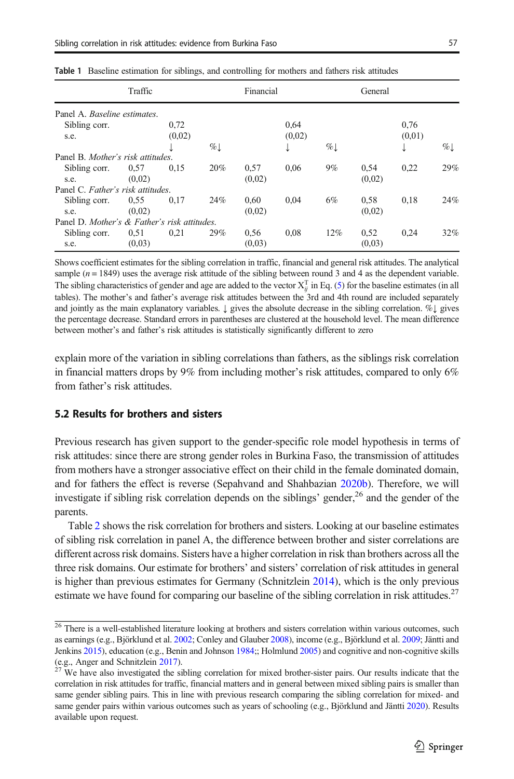|                                              | Traffic |        |     | Financial |        |     | General |        |      |
|----------------------------------------------|---------|--------|-----|-----------|--------|-----|---------|--------|------|
| Panel A. Baseline estimates.                 |         |        |     |           |        |     |         |        |      |
| Sibling corr.                                |         | 0.72   |     |           | 0.64   |     |         | 0.76   |      |
| s.e.                                         |         | (0,02) |     |           | (0,02) |     |         | (0.01) |      |
|                                              |         |        | %⊥  |           |        | %Į  |         | ↓      | $\%$ |
| Panel B. Mother's risk attitudes.            |         |        |     |           |        |     |         |        |      |
| Sibling corr.                                | 0.57    | 0.15   | 20% | 0.57      | 0.06   | 9%  | 0.54    | 0,22   | 29%  |
| s.e.                                         | (0,02)  |        |     | (0,02)    |        |     | (0,02)  |        |      |
| Panel C. Father's risk attitudes.            |         |        |     |           |        |     |         |        |      |
| Sibling corr.                                | 0.55    | 0.17   | 24% | 0.60      | 0.04   | 6%  | 0.58    | 0.18   | 24%  |
| s.e.                                         | (0.02)  |        |     | (0,02)    |        |     | (0,02)  |        |      |
| Panel D. Mother's & Father's risk attitudes. |         |        |     |           |        |     |         |        |      |
| Sibling corr.                                | 0,51    | 0,21   | 29% | 0.56      | 0.08   | 12% | 0.52    | 0,24   | 32%  |
| s.e.                                         | (0,03)  |        |     | (0,03)    |        |     | (0,03)  |        |      |

<span id="page-12-0"></span>Table 1 Baseline estimation for siblings, and controlling for mothers and fathers risk attitudes

Shows coefficient estimates for the sibling correlation in traffic, financial and general risk attitudes. The analytical sample ( $n = 1849$ ) uses the average risk attitude of the sibling between round 3 and 4 as the dependent variable. The sibling characteristics of gender and age are added to the vector  $X_{ij}^T$  in Eq. [\(5](#page-8-0)) for the baseline estimates (in all tables). The mother's and father's average risk attitudes between the 3rd and 4th round are included separately and jointly as the main explanatory variables. ↓ gives the absolute decrease in the sibling correlation. %↓ gives the percentage decrease. Standard errors in parentheses are clustered at the household level. The mean difference between mother's and father's risk attitudes is statistically significantly different to zero

explain more of the variation in sibling correlations than fathers, as the siblings risk correlation in financial matters drops by 9% from including mother's risk attitudes, compared to only 6% from father's risk attitudes.

#### 5.2 Results for brothers and sisters

Previous research has given support to the gender-specific role model hypothesis in terms of risk attitudes: since there are strong gender roles in Burkina Faso, the transmission of attitudes from mothers have a stronger associative effect on their child in the female dominated domain, and for fathers the effect is reverse (Sepahvand and Shahbazian [2020b](#page-27-0)). Therefore, we will investigate if sibling risk correlation depends on the siblings' gender,<sup>26</sup> and the gender of the parents.

Table [2](#page-14-0) shows the risk correlation for brothers and sisters. Looking at our baseline estimates of sibling risk correlation in panel A, the difference between brother and sister correlations are different across risk domains. Sisters have a higher correlation in risk than brothers across all the three risk domains. Our estimate for brothers' and sisters' correlation of risk attitudes in general is higher than previous estimates for Germany (Schnitzlein [2014](#page-27-0)), which is the only previous estimate we have found for comparing our baseline of the sibling correlation in risk attitudes.<sup>27</sup>

 $26$  There is a well-established literature looking at brothers and sisters correlation within various outcomes, such as earnings (e.g., Björklund et al. [2002](#page-25-0); Conley and Glauber [2008](#page-25-0)), income (e.g., Björklund et al. [2009](#page-25-0); Jäntti and Jenkins [2015](#page-26-0)), education (e.g., Benin and Johnson [1984;](#page-24-0); Holmlund [2005\)](#page-26-0) and cognitive and non-cognitive skills (e.g., Anger and Schnitzlein [2017\)](#page-24-0).<br><sup>27</sup> We have also investigated the sibling correlation for mixed brother-sister pairs. Our results indicate that the

correlation in risk attitudes for traffic, financial matters and in general between mixed sibling pairs is smaller than same gender sibling pairs. This in line with previous research comparing the sibling correlation for mixed- and same gender pairs within various outcomes such as years of schooling (e.g., Björklund and Jäntti [2020\)](#page-25-0). Results available upon request.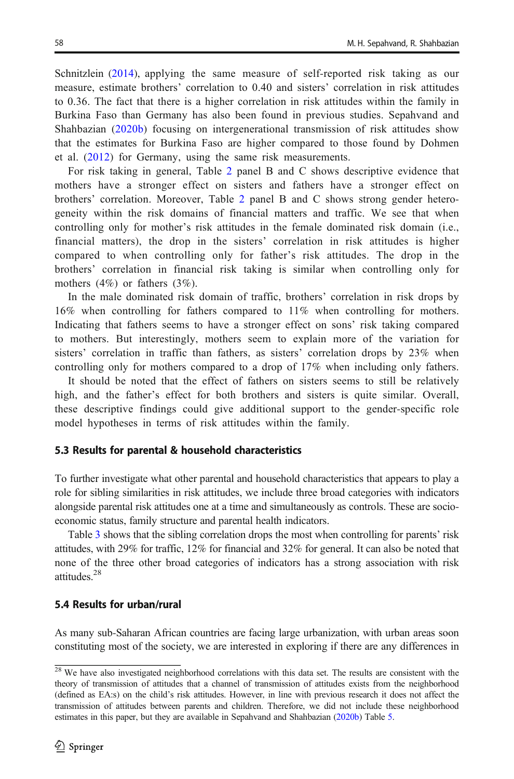Schnitzlein ([2014\)](#page-27-0), applying the same measure of self-reported risk taking as our measure, estimate brothers' correlation to 0.40 and sisters' correlation in risk attitudes to 0.36. The fact that there is a higher correlation in risk attitudes within the family in Burkina Faso than Germany has also been found in previous studies. Sepahvand and Shahbazian ([2020b\)](#page-27-0) focusing on intergenerational transmission of risk attitudes show that the estimates for Burkina Faso are higher compared to those found by Dohmen et al. ([2012\)](#page-25-0) for Germany, using the same risk measurements.

For risk taking in general, Table [2](#page-14-0) panel B and C shows descriptive evidence that mothers have a stronger effect on sisters and fathers have a stronger effect on brothers' correlation. Moreover, Table [2](#page-14-0) panel B and C shows strong gender heterogeneity within the risk domains of financial matters and traffic. We see that when controlling only for mother's risk attitudes in the female dominated risk domain (i.e., financial matters), the drop in the sisters' correlation in risk attitudes is higher compared to when controlling only for father's risk attitudes. The drop in the brothers' correlation in financial risk taking is similar when controlling only for mothers (4%) or fathers (3%).

In the male dominated risk domain of traffic, brothers' correlation in risk drops by 16% when controlling for fathers compared to 11% when controlling for mothers. Indicating that fathers seems to have a stronger effect on sons' risk taking compared to mothers. But interestingly, mothers seem to explain more of the variation for sisters' correlation in traffic than fathers, as sisters' correlation drops by 23% when controlling only for mothers compared to a drop of 17% when including only fathers.

It should be noted that the effect of fathers on sisters seems to still be relatively high, and the father's effect for both brothers and sisters is quite similar. Overall, these descriptive findings could give additional support to the gender-specific role model hypotheses in terms of risk attitudes within the family.

#### 5.3 Results for parental & household characteristics

To further investigate what other parental and household characteristics that appears to play a role for sibling similarities in risk attitudes, we include three broad categories with indicators alongside parental risk attitudes one at a time and simultaneously as controls. These are socioeconomic status, family structure and parental health indicators.

Table [3](#page-15-0) shows that the sibling correlation drops the most when controlling for parents' risk attitudes, with 29% for traffic, 12% for financial and 32% for general. It can also be noted that none of the three other broad categories of indicators has a strong association with risk attitudes<sup>28</sup>

## 5.4 Results for urban/rural

As many sub-Saharan African countries are facing large urbanization, with urban areas soon constituting most of the society, we are interested in exploring if there are any differences in

<sup>&</sup>lt;sup>28</sup> We have also investigated neighborhood correlations with this data set. The results are consistent with the theory of transmission of attitudes that a channel of transmission of attitudes exists from the neighborhood (defined as EA:s) on the child's risk attitudes. However, in line with previous research it does not affect the transmission of attitudes between parents and children. Therefore, we did not include these neighborhood estimates in this paper, but they are available in Sepahvand and Shahbazian ([2020b](#page-27-0)) Table [5.](#page-21-0)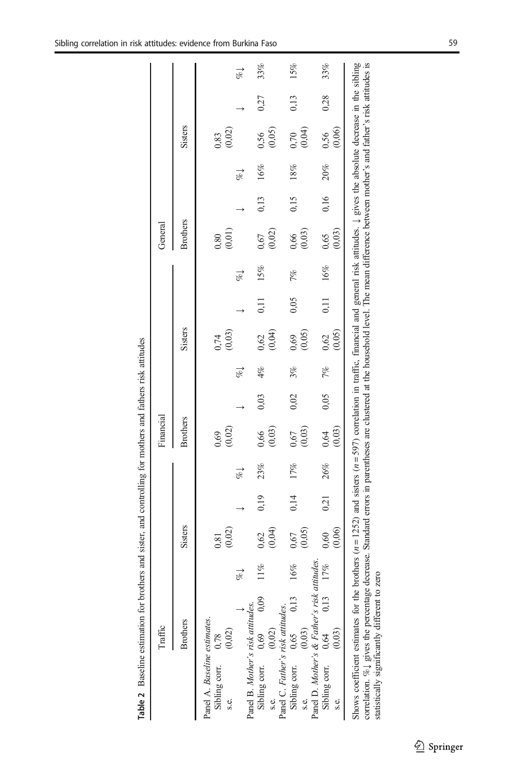| ٧ |
|---|
|   |
|   |

| <br> <br>                       |  |
|---------------------------------|--|
| معطاتهم والمحمد                 |  |
|                                 |  |
|                                 |  |
| ۱                               |  |
|                                 |  |
|                                 |  |
| tato certa                      |  |
|                                 |  |
| Country Care<br>i<br>S          |  |
|                                 |  |
|                                 |  |
| ֧֚֚֚֚֚֚֚֚֚֚֚֚֚֚֚֚֡֡֡֡֡֡֡֡֡֡֡֡֬֝ |  |
| ֕                               |  |
|                                 |  |

<span id="page-14-0"></span>

|                                                                                          | Traffic         |      |          |                                                                                                                                                                                                                                                                                                                               |      |      | Financial       |      |    |                |      |     | Genera          |      |     |                    |      |      |
|------------------------------------------------------------------------------------------|-----------------|------|----------|-------------------------------------------------------------------------------------------------------------------------------------------------------------------------------------------------------------------------------------------------------------------------------------------------------------------------------|------|------|-----------------|------|----|----------------|------|-----|-----------------|------|-----|--------------------|------|------|
|                                                                                          | <b>Brothers</b> |      |          | Sisters                                                                                                                                                                                                                                                                                                                       |      |      | <b>Brothers</b> |      |    | Sisters        |      |     | <b>Brothers</b> |      |     | Sisters            |      |      |
| Panel A. Baseline estimates.<br>Sibling corr. 0,78<br>s.e.                               | (0,02)          |      |          | (0,02)<br>0,81                                                                                                                                                                                                                                                                                                                |      |      | (0,02)<br>0,69  |      |    | (0,03)<br>0,74 |      |     | (0, 01)<br>0,80 |      |     | (0,02)<br>0,83     |      |      |
|                                                                                          |                 |      | o% ↓     |                                                                                                                                                                                                                                                                                                                               |      | Te T |                 |      | E) |                |      | %J  |                 |      | ok) |                    |      | $\%$ |
| Panel B. Mother's risk attitudes.                                                        |                 |      |          |                                                                                                                                                                                                                                                                                                                               |      |      |                 |      |    |                |      |     |                 |      |     |                    |      |      |
| Sibling corr. 0,69                                                                       |                 | 0,09 | $11\%$   | 0,62                                                                                                                                                                                                                                                                                                                          | 0,19 | 23%  | 0,66            | 0,03 | 4% | 0,62           | 0,11 | 15% | 0,67            | 0,13 | 16% | 0,56               | 0,27 | 33%  |
| s.e.                                                                                     | (0,02)          |      |          | (0,04)                                                                                                                                                                                                                                                                                                                        |      |      | (0,03)          |      |    | (0,04)         |      |     | (0,02)          |      |     | (0,05)             |      |      |
| Panel C. Father's risk attitudes.                                                        |                 |      |          |                                                                                                                                                                                                                                                                                                                               |      |      |                 |      |    |                |      |     |                 |      |     |                    |      |      |
| Sibling corr. 0,65 0,13                                                                  |                 |      | 16%      | 0,67                                                                                                                                                                                                                                                                                                                          | 0,14 | 17%  | 0,67            | 0,02 | 3% | 0,69           | 0,05 | 7%  | 0,66            | 0,15 | 18% | $0,70$<br>$(0,04)$ | 0,13 | 15%  |
| s.e.                                                                                     | (0, 03)         |      |          | (0,05)                                                                                                                                                                                                                                                                                                                        |      |      | (0,03)          |      |    | (0,05)         |      |     | (0,03)          |      |     |                    |      |      |
| Panel D. Mother's & Father's risk a                                                      |                 |      | ttitudes |                                                                                                                                                                                                                                                                                                                               |      |      |                 |      |    |                |      |     |                 |      |     |                    |      |      |
| Sibling corr. 0,64                                                                       |                 | 0,13 | 17%      | 0,60                                                                                                                                                                                                                                                                                                                          | 0,21 | 26%  | 0,64            | 0,05 | 7% | 0,62           | 0,11 | 16% | 0,65            | 0,16 | 20% | 0,56               | 0,28 | 33%  |
| s.e.                                                                                     | (0,03)          |      |          | (0,06)                                                                                                                                                                                                                                                                                                                        |      |      | (0,03)          |      |    | (0,05)         |      |     | (0,03)          |      |     | (0,06)             |      |      |
| correlation. $\% \downarrow$ gives the percentage<br>Shows coefficient estimates for the |                 |      |          | brothers ( $n = 1252$ ) and sisters ( $n = 597$ ) correlation in traffic, financial and general risk attitudes. $\downarrow$ gives the absolute decrease in the sibling<br>decrease. Standard errors in parentheses are clustered at the household level. The mean difference between mother's and father's risk attitudes is |      |      |                 |      |    |                |      |     |                 |      |     |                    |      |      |
| statistically significantly different to                                                 |                 |      | zero     |                                                                                                                                                                                                                                                                                                                               |      |      |                 |      |    |                |      |     |                 |      |     |                    |      |      |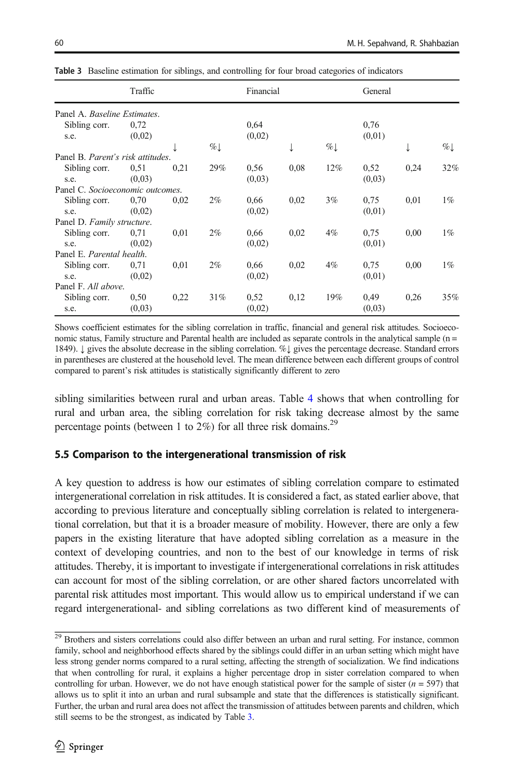|                                   | Traffic |      |                 | Financial |      |                 | General |      |                 |
|-----------------------------------|---------|------|-----------------|-----------|------|-----------------|---------|------|-----------------|
| Panel A. Baseline Estimates.      |         |      |                 |           |      |                 |         |      |                 |
| Sibling corr.                     | 0,72    |      |                 | 0,64      |      |                 | 0,76    |      |                 |
| s.e.                              | (0,02)  |      |                 | (0,02)    |      |                 | (0,01)  |      |                 |
|                                   |         |      | $\% \downarrow$ |           |      | $\% \downarrow$ |         |      | $\% \downarrow$ |
| Panel B. Parent's risk attitudes. |         |      |                 |           |      |                 |         |      |                 |
| Sibling corr.                     | 0,51    | 0,21 | 29%             | 0,56      | 0.08 | 12%             | 0,52    | 0,24 | 32%             |
| s.e.                              | (0,03)  |      |                 | (0,03)    |      |                 | (0,03)  |      |                 |
| Panel C. Socioeconomic outcomes.  |         |      |                 |           |      |                 |         |      |                 |
| Sibling corr.                     | 0,70    | 0,02 | $2\%$           | 0,66      | 0,02 | 3%              | 0,75    | 0,01 | $1\%$           |
| s.e.                              | (0,02)  |      |                 | (0,02)    |      |                 | (0.01)  |      |                 |
| Panel D. Family structure.        |         |      |                 |           |      |                 |         |      |                 |
| Sibling corr.                     | 0,71    | 0,01 | 2%              | 0,66      | 0,02 | $4\%$           | 0,75    | 0,00 | $1\%$           |
| s.e.                              | (0,02)  |      |                 | (0,02)    |      |                 | (0,01)  |      |                 |
| Panel E. Parental health.         |         |      |                 |           |      |                 |         |      |                 |
| Sibling corr.                     | 0,71    | 0,01 | 2%              | 0,66      | 0,02 | $4\%$           | 0,75    | 0,00 | $1\%$           |
| s.e.                              | (0,02)  |      |                 | (0,02)    |      |                 | (0,01)  |      |                 |
| Panel F. All above.               |         |      |                 |           |      |                 |         |      |                 |
| Sibling corr.                     | 0,50    | 0,22 | 31%             | 0,52      | 0,12 | 19%             | 0,49    | 0,26 | 35%             |
| s.e.                              | (0,03)  |      |                 | (0,02)    |      |                 | (0,03)  |      |                 |

<span id="page-15-0"></span>Table 3 Baseline estimation for siblings, and controlling for four broad categories of indicators

Shows coefficient estimates for the sibling correlation in traffic, financial and general risk attitudes. Socioeconomic status, Family structure and Parental health are included as separate controls in the analytical sample  $(n = 1)$ 1849). ↓ gives the absolute decrease in the sibling correlation. %↓ gives the percentage decrease. Standard errors in parentheses are clustered at the household level. The mean difference between each different groups of control compared to parent's risk attitudes is statistically significantly different to zero

sibling similarities between rural and urban areas. Table [4](#page-16-0) shows that when controlling for rural and urban area, the sibling correlation for risk taking decrease almost by the same percentage points (between 1 to  $2\%$ ) for all three risk domains.<sup>29</sup>

### 5.5 Comparison to the intergenerational transmission of risk

A key question to address is how our estimates of sibling correlation compare to estimated intergenerational correlation in risk attitudes. It is considered a fact, as stated earlier above, that according to previous literature and conceptually sibling correlation is related to intergenerational correlation, but that it is a broader measure of mobility. However, there are only a few papers in the existing literature that have adopted sibling correlation as a measure in the context of developing countries, and non to the best of our knowledge in terms of risk attitudes. Thereby, it is important to investigate if intergenerational correlations in risk attitudes can account for most of the sibling correlation, or are other shared factors uncorrelated with parental risk attitudes most important. This would allow us to empirical understand if we can regard intergenerational- and sibling correlations as two different kind of measurements of

<sup>&</sup>lt;sup>29</sup> Brothers and sisters correlations could also differ between an urban and rural setting. For instance, common family, school and neighborhood effects shared by the siblings could differ in an urban setting which might have less strong gender norms compared to a rural setting, affecting the strength of socialization. We find indications that when controlling for rural, it explains a higher percentage drop in sister correlation compared to when controlling for urban. However, we do not have enough statistical power for the sample of sister ( $n = 597$ ) that allows us to split it into an urban and rural subsample and state that the differences is statistically significant. Further, the urban and rural area does not affect the transmission of attitudes between parents and children, which still seems to be the strongest, as indicated by Table 3.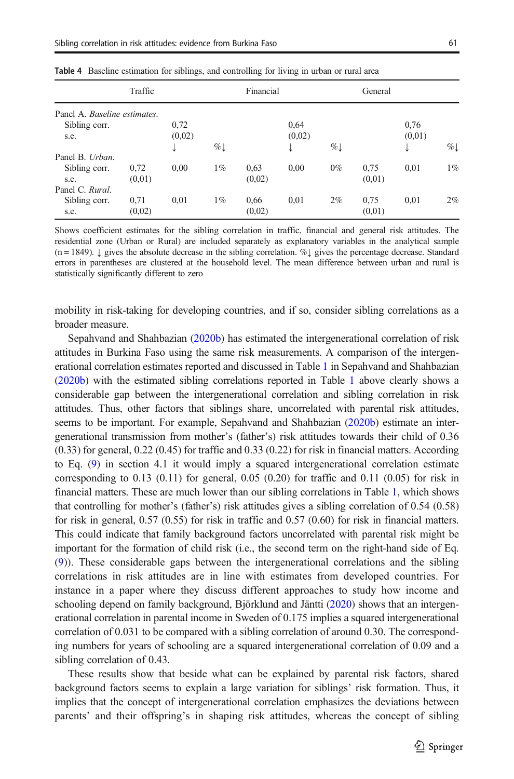|                                                       | Traffic        |                |       | Financial      |                |       | General        |                |       |
|-------------------------------------------------------|----------------|----------------|-------|----------------|----------------|-------|----------------|----------------|-------|
| Panel A. Baseline estimates.<br>Sibling corr.<br>s.e. |                | 0,72<br>(0,02) | %↓    |                | 0.64<br>(0,02) | %↓    |                | 0,76<br>(0,01) | %↓    |
| Panel B. Urban.                                       |                | ↓              |       |                | ↓              |       |                | ↓              |       |
| Sibling corr.<br>s.e.                                 | 0,72<br>(0.01) | 0.00           | $1\%$ | 0.63<br>(0,02) | 0.00           | $0\%$ | 0.75<br>(0,01) | 0.01           | $1\%$ |
| Panel C. Rural.<br>Sibling corr.<br>s.e.              | 0,71<br>(0,02) | 0.01           | $1\%$ | 0,66<br>(0,02) | 0.01           | 2%    | 0.75<br>(0,01) | 0.01           | $2\%$ |

<span id="page-16-0"></span>Table 4 Baseline estimation for siblings, and controlling for living in urban or rural area

Shows coefficient estimates for the sibling correlation in traffic, financial and general risk attitudes. The residential zone (Urban or Rural) are included separately as explanatory variables in the analytical sample  $(n = 1849)$ . ↓ gives the absolute decrease in the sibling correlation. %  $\downarrow$  gives the percentage decrease. Standard errors in parentheses are clustered at the household level. The mean difference between urban and rural is statistically significantly different to zero

mobility in risk-taking for developing countries, and if so, consider sibling correlations as a broader measure.

Sepahvand and Shahbazian ([2020b\)](#page-27-0) has estimated the intergenerational correlation of risk attitudes in Burkina Faso using the same risk measurements. A comparison of the intergenerational correlation estimates reported and discussed in Table [1](#page-12-0) in Sepahvand and Shahbazian ([2020b\)](#page-27-0) with the estimated sibling correlations reported in Table [1](#page-12-0) above clearly shows a considerable gap between the intergenerational correlation and sibling correlation in risk attitudes. Thus, other factors that siblings share, uncorrelated with parental risk attitudes, seems to be important. For example, Sepahvand and Shahbazian ([2020b\)](#page-27-0) estimate an intergenerational transmission from mother's (father's) risk attitudes towards their child of 0.36 (0.33) for general, 0.22 (0.45) for traffic and 0.33 (0.22) for risk in financial matters. According to Eq. [\(9\)](#page-10-0) in section 4.1 it would imply a squared intergenerational correlation estimate corresponding to  $0.13$   $(0.11)$  for general,  $0.05$   $(0.20)$  for traffic and  $0.11$   $(0.05)$  for risk in financial matters. These are much lower than our sibling correlations in Table [1,](#page-12-0) which shows that controlling for mother's (father's) risk attitudes gives a sibling correlation of 0.54 (0.58) for risk in general, 0.57 (0.55) for risk in traffic and 0.57 (0.60) for risk in financial matters. This could indicate that family background factors uncorrelated with parental risk might be important for the formation of child risk (i.e., the second term on the right-hand side of Eq. ([9\)](#page-10-0)). These considerable gaps between the intergenerational correlations and the sibling correlations in risk attitudes are in line with estimates from developed countries. For instance in a paper where they discuss different approaches to study how income and schooling depend on family background, Björklund and Jäntti [\(2020\)](#page-25-0) shows that an intergenerational correlation in parental income in Sweden of 0.175 implies a squared intergenerational correlation of 0.031 to be compared with a sibling correlation of around 0.30. The corresponding numbers for years of schooling are a squared intergenerational correlation of 0.09 and a sibling correlation of 0.43.

These results show that beside what can be explained by parental risk factors, shared background factors seems to explain a large variation for siblings' risk formation. Thus, it implies that the concept of intergenerational correlation emphasizes the deviations between parents' and their offspring's in shaping risk attitudes, whereas the concept of sibling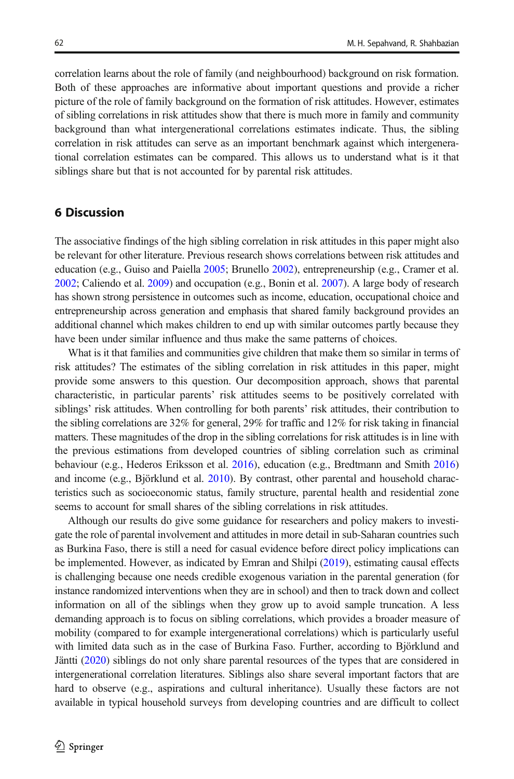correlation learns about the role of family (and neighbourhood) background on risk formation. Both of these approaches are informative about important questions and provide a richer picture of the role of family background on the formation of risk attitudes. However, estimates of sibling correlations in risk attitudes show that there is much more in family and community background than what intergenerational correlations estimates indicate. Thus, the sibling correlation in risk attitudes can serve as an important benchmark against which intergenerational correlation estimates can be compared. This allows us to understand what is it that siblings share but that is not accounted for by parental risk attitudes.

## 6 Discussion

The associative findings of the high sibling correlation in risk attitudes in this paper might also be relevant for other literature. Previous research shows correlations between risk attitudes and education (e.g., Guiso and Paiella [2005;](#page-26-0) Brunello [2002](#page-25-0)), entrepreneurship (e.g., Cramer et al. [2002](#page-25-0); Caliendo et al. [2009\)](#page-25-0) and occupation (e.g., Bonin et al. [2007\)](#page-25-0). A large body of research has shown strong persistence in outcomes such as income, education, occupational choice and entrepreneurship across generation and emphasis that shared family background provides an additional channel which makes children to end up with similar outcomes partly because they have been under similar influence and thus make the same patterns of choices.

What is it that families and communities give children that make them so similar in terms of risk attitudes? The estimates of the sibling correlation in risk attitudes in this paper, might provide some answers to this question. Our decomposition approach, shows that parental characteristic, in particular parents' risk attitudes seems to be positively correlated with siblings' risk attitudes. When controlling for both parents' risk attitudes, their contribution to the sibling correlations are 32% for general, 29% for traffic and 12% for risk taking in financial matters. These magnitudes of the drop in the sibling correlations for risk attitudes is in line with the previous estimations from developed countries of sibling correlation such as criminal behaviour (e.g., Hederos Eriksson et al. [2016](#page-26-0)), education (e.g., Bredtmann and Smith [2016\)](#page-25-0) and income (e.g., Björklund et al. [2010](#page-25-0)). By contrast, other parental and household characteristics such as socioeconomic status, family structure, parental health and residential zone seems to account for small shares of the sibling correlations in risk attitudes.

Although our results do give some guidance for researchers and policy makers to investigate the role of parental involvement and attitudes in more detail in sub-Saharan countries such as Burkina Faso, there is still a need for casual evidence before direct policy implications can be implemented. However, as indicated by Emran and Shilpi ([2019](#page-26-0)), estimating causal effects is challenging because one needs credible exogenous variation in the parental generation (for instance randomized interventions when they are in school) and then to track down and collect information on all of the siblings when they grow up to avoid sample truncation. A less demanding approach is to focus on sibling correlations, which provides a broader measure of mobility (compared to for example intergenerational correlations) which is particularly useful with limited data such as in the case of Burkina Faso. Further, according to Björklund and Jäntti [\(2020\)](#page-25-0) siblings do not only share parental resources of the types that are considered in intergenerational correlation literatures. Siblings also share several important factors that are hard to observe (e.g., aspirations and cultural inheritance). Usually these factors are not available in typical household surveys from developing countries and are difficult to collect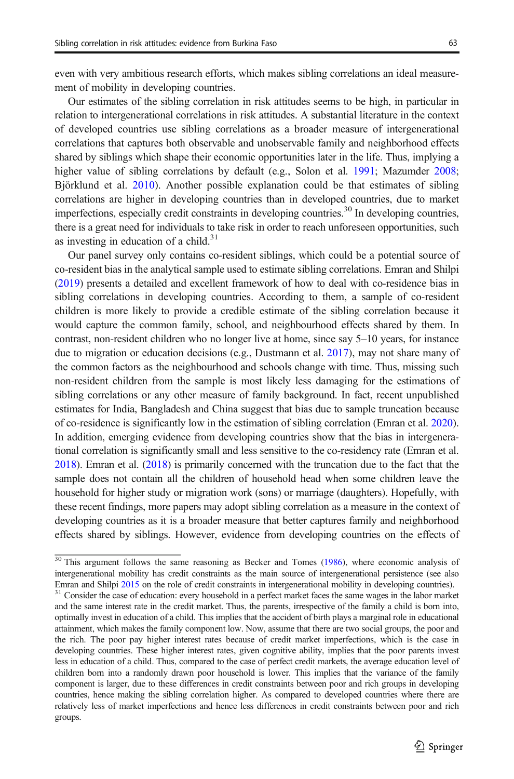even with very ambitious research efforts, which makes sibling correlations an ideal measurement of mobility in developing countries.

Our estimates of the sibling correlation in risk attitudes seems to be high, in particular in relation to intergenerational correlations in risk attitudes. A substantial literature in the context of developed countries use sibling correlations as a broader measure of intergenerational correlations that captures both observable and unobservable family and neighborhood effects shared by siblings which shape their economic opportunities later in the life. Thus, implying a higher value of sibling correlations by default (e.g., Solon et al. [1991;](#page-27-0) Mazumder [2008;](#page-26-0) Björklund et al. [2010](#page-25-0)). Another possible explanation could be that estimates of sibling correlations are higher in developing countries than in developed countries, due to market imperfections, especially credit constraints in developing countries.<sup>30</sup> In developing countries, there is a great need for individuals to take risk in order to reach unforeseen opportunities, such as investing in education of a child. $31$ 

Our panel survey only contains co-resident siblings, which could be a potential source of co-resident bias in the analytical sample used to estimate sibling correlations. Emran and Shilpi ([2019](#page-26-0)) presents a detailed and excellent framework of how to deal with co-residence bias in sibling correlations in developing countries. According to them, a sample of co-resident children is more likely to provide a credible estimate of the sibling correlation because it would capture the common family, school, and neighbourhood effects shared by them. In contrast, non-resident children who no longer live at home, since say 5–10 years, for instance due to migration or education decisions (e.g., Dustmann et al. [2017](#page-25-0)), may not share many of the common factors as the neighbourhood and schools change with time. Thus, missing such non-resident children from the sample is most likely less damaging for the estimations of sibling correlations or any other measure of family background. In fact, recent unpublished estimates for India, Bangladesh and China suggest that bias due to sample truncation because of co-residence is significantly low in the estimation of sibling correlation (Emran et al. [2020](#page-26-0)). In addition, emerging evidence from developing countries show that the bias in intergenerational correlation is significantly small and less sensitive to the co-residency rate (Emran et al. [2018](#page-26-0)). Emran et al. ([2018](#page-26-0)) is primarily concerned with the truncation due to the fact that the sample does not contain all the children of household head when some children leave the household for higher study or migration work (sons) or marriage (daughters). Hopefully, with these recent findings, more papers may adopt sibling correlation as a measure in the context of developing countries as it is a broader measure that better captures family and neighborhood effects shared by siblings. However, evidence from developing countries on the effects of

<sup>&</sup>lt;sup>30</sup> This argument follows the same reasoning as Becker and Tomes [\(1986\)](#page-24-0), where economic analysis of intergenerational mobility has credit constraints as the main source of intergenerational persistence (see also Emran and Shilpi [2015](#page-26-0) on the role of credit constraints in intergenerational mobility in developing countries). <sup>31</sup> Consider the case of education: every household in a perfect market faces the same wages in the labor market

and the same interest rate in the credit market. Thus, the parents, irrespective of the family a child is born into, optimally invest in education of a child. This implies that the accident of birth plays a marginal role in educational attainment, which makes the family component low. Now, assume that there are two social groups, the poor and the rich. The poor pay higher interest rates because of credit market imperfections, which is the case in developing countries. These higher interest rates, given cognitive ability, implies that the poor parents invest less in education of a child. Thus, compared to the case of perfect credit markets, the average education level of children born into a randomly drawn poor household is lower. This implies that the variance of the family component is larger, due to these differences in credit constraints between poor and rich groups in developing countries, hence making the sibling correlation higher. As compared to developed countries where there are relatively less of market imperfections and hence less differences in credit constraints between poor and rich groups.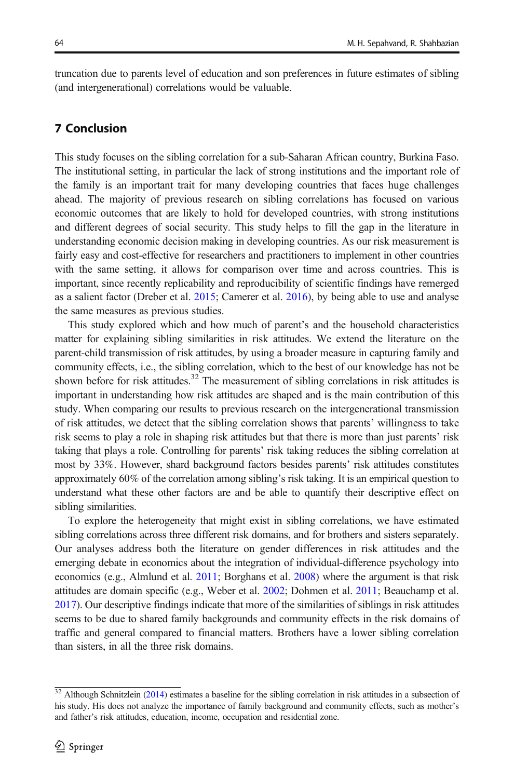truncation due to parents level of education and son preferences in future estimates of sibling (and intergenerational) correlations would be valuable.

## 7 Conclusion

This study focuses on the sibling correlation for a sub-Saharan African country, Burkina Faso. The institutional setting, in particular the lack of strong institutions and the important role of the family is an important trait for many developing countries that faces huge challenges ahead. The majority of previous research on sibling correlations has focused on various economic outcomes that are likely to hold for developed countries, with strong institutions and different degrees of social security. This study helps to fill the gap in the literature in understanding economic decision making in developing countries. As our risk measurement is fairly easy and cost-effective for researchers and practitioners to implement in other countries with the same setting, it allows for comparison over time and across countries. This is important, since recently replicability and reproducibility of scientific findings have remerged as a salient factor (Dreber et al. [2015](#page-25-0); Camerer et al. [2016](#page-25-0)), by being able to use and analyse the same measures as previous studies.

This study explored which and how much of parent's and the household characteristics matter for explaining sibling similarities in risk attitudes. We extend the literature on the parent-child transmission of risk attitudes, by using a broader measure in capturing family and community effects, i.e., the sibling correlation, which to the best of our knowledge has not be shown before for risk attitudes.<sup>32</sup> The measurement of sibling correlations in risk attitudes is important in understanding how risk attitudes are shaped and is the main contribution of this study. When comparing our results to previous research on the intergenerational transmission of risk attitudes, we detect that the sibling correlation shows that parents' willingness to take risk seems to play a role in shaping risk attitudes but that there is more than just parents' risk taking that plays a role. Controlling for parents' risk taking reduces the sibling correlation at most by 33%. However, shard background factors besides parents' risk attitudes constitutes approximately 60% of the correlation among sibling's risk taking. It is an empirical question to understand what these other factors are and be able to quantify their descriptive effect on sibling similarities.

To explore the heterogeneity that might exist in sibling correlations, we have estimated sibling correlations across three different risk domains, and for brothers and sisters separately. Our analyses address both the literature on gender differences in risk attitudes and the emerging debate in economics about the integration of individual-difference psychology into economics (e.g., Almlund et al. [2011](#page-24-0); Borghans et al. [2008\)](#page-25-0) where the argument is that risk attitudes are domain specific (e.g., Weber et al. [2002](#page-27-0); Dohmen et al. [2011;](#page-25-0) Beauchamp et al. [2017](#page-24-0)). Our descriptive findings indicate that more of the similarities of siblings in risk attitudes seems to be due to shared family backgrounds and community effects in the risk domains of traffic and general compared to financial matters. Brothers have a lower sibling correlation than sisters, in all the three risk domains.

<sup>&</sup>lt;sup>32</sup> Although Schnitzlein [\(2014\)](#page-27-0) estimates a baseline for the sibling correlation in risk attitudes in a subsection of his study. His does not analyze the importance of family background and community effects, such as mother's and father's risk attitudes, education, income, occupation and residential zone.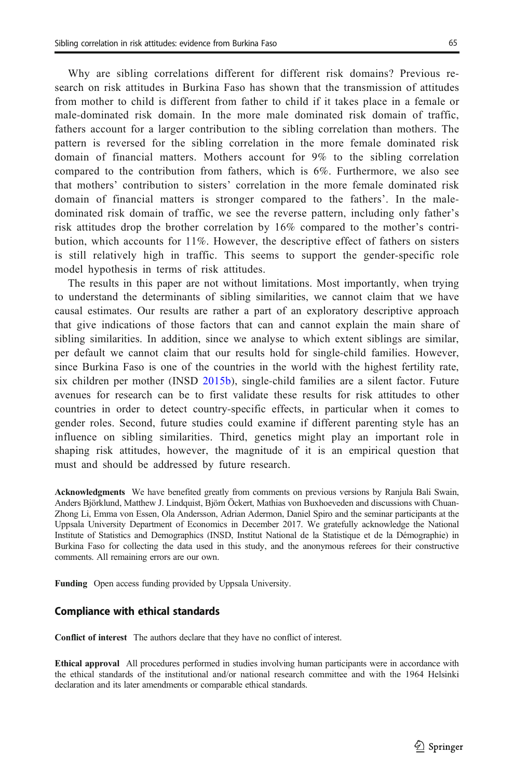Why are sibling correlations different for different risk domains? Previous research on risk attitudes in Burkina Faso has shown that the transmission of attitudes from mother to child is different from father to child if it takes place in a female or male-dominated risk domain. In the more male dominated risk domain of traffic, fathers account for a larger contribution to the sibling correlation than mothers. The pattern is reversed for the sibling correlation in the more female dominated risk domain of financial matters. Mothers account for 9% to the sibling correlation compared to the contribution from fathers, which is 6%. Furthermore, we also see that mothers' contribution to sisters' correlation in the more female dominated risk domain of financial matters is stronger compared to the fathers'. In the maledominated risk domain of traffic, we see the reverse pattern, including only father's risk attitudes drop the brother correlation by 16% compared to the mother's contribution, which accounts for 11%. However, the descriptive effect of fathers on sisters is still relatively high in traffic. This seems to support the gender-specific role model hypothesis in terms of risk attitudes.

The results in this paper are not without limitations. Most importantly, when trying to understand the determinants of sibling similarities, we cannot claim that we have causal estimates. Our results are rather a part of an exploratory descriptive approach that give indications of those factors that can and cannot explain the main share of sibling similarities. In addition, since we analyse to which extent siblings are similar, per default we cannot claim that our results hold for single-child families. However, since Burkina Faso is one of the countries in the world with the highest fertility rate, six children per mother (INSD [2015b\)](#page-26-0), single-child families are a silent factor. Future avenues for research can be to first validate these results for risk attitudes to other countries in order to detect country-specific effects, in particular when it comes to gender roles. Second, future studies could examine if different parenting style has an influence on sibling similarities. Third, genetics might play an important role in shaping risk attitudes, however, the magnitude of it is an empirical question that must and should be addressed by future research.

Acknowledgments We have benefited greatly from comments on previous versions by Ranjula Bali Swain, Anders Björklund, Matthew J. Lindquist, Björn Öckert, Mathias von Buxhoeveden and discussions with Chuan-Zhong Li, Emma von Essen, Ola Andersson, Adrian Adermon, Daniel Spiro and the seminar participants at the Uppsala University Department of Economics in December 2017. We gratefully acknowledge the National Institute of Statistics and Demographics (INSD, Institut National de la Statistique et de la Démographie) in Burkina Faso for collecting the data used in this study, and the anonymous referees for their constructive comments. All remaining errors are our own.

Funding Open access funding provided by Uppsala University.

#### Compliance with ethical standards

Conflict of interest The authors declare that they have no conflict of interest.

Ethical approval All procedures performed in studies involving human participants were in accordance with the ethical standards of the institutional and/or national research committee and with the 1964 Helsinki declaration and its later amendments or comparable ethical standards.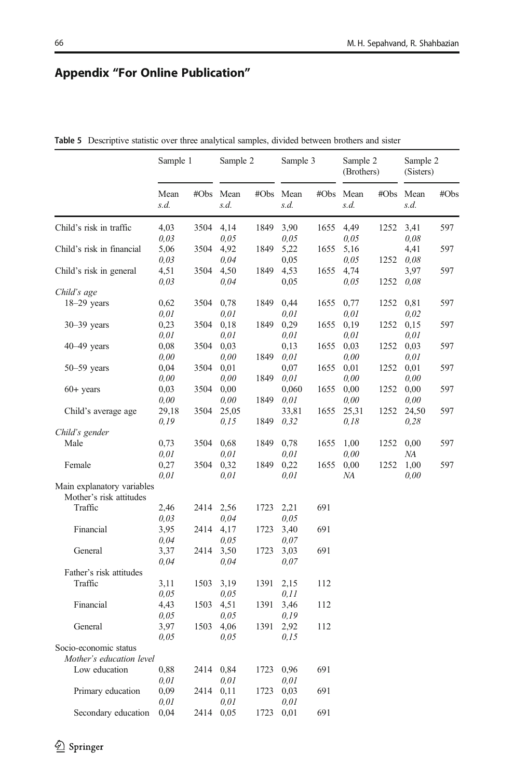# <span id="page-21-0"></span>Appendix "For Online Publication"

|                                                       | Sample 1 |      | Sample 2 |      | Sample 3  |      | Sample 2<br>(Brothers) |      | Sample 2<br>(Sisters) |      |
|-------------------------------------------------------|----------|------|----------|------|-----------|------|------------------------|------|-----------------------|------|
|                                                       | Mean     | #Obs | Mean     |      | #Obs Mean |      | #Obs Mean              | #Obs | Mean                  | #Obs |
|                                                       | s.d.     |      | s.d.     |      | s.d.      |      | s.d.                   |      | s.d.                  |      |
| Child's risk in traffic                               | 4,03     | 3504 | 4,14     | 1849 | 3,90      | 1655 | 4,49                   | 1252 | 3,41                  | 597  |
|                                                       | 0,03     |      | 0,05     |      | 0,05      |      | 0,05                   |      | 0,08                  |      |
| Child's risk in financial                             | 5,06     | 3504 | 4,92     | 1849 | 5,22      | 1655 | 5,16                   |      | 4,41                  | 597  |
|                                                       | 0,03     |      | 0,04     |      | 0,05      |      | 0,05                   | 1252 | 0,08                  |      |
| Child's risk in general                               | 4,51     | 3504 | 4,50     | 1849 | 4,53      | 1655 | 4,74                   |      | 3,97                  | 597  |
|                                                       | 0,03     |      | 0.04     |      | 0,05      |      | 0,05                   | 1252 | 0.08                  |      |
| Child's age                                           |          |      |          |      |           |      |                        |      |                       |      |
| $18-29$ years                                         | 0,62     | 3504 | 0,78     | 1849 | 0,44      | 1655 | 0,77                   | 1252 | 0,81                  | 597  |
|                                                       | 0,01     |      | 0,01     |      | 0,01      |      | 0,01                   |      | 0,02                  |      |
| $30 - 39$ years                                       | 0,23     | 3504 | 0,18     | 1849 | 0,29      | 1655 | 0,19                   | 1252 | 0,15                  | 597  |
|                                                       | 0,01     |      | 0,01     |      | 0,01      |      | 0,01                   |      | 0,01                  |      |
| $40-49$ years                                         | 0.08     | 3504 | 0,03     |      | 0,13      | 1655 | 0,03                   | 1252 | 0,03                  | 597  |
|                                                       | 0,00     |      | 0,00     | 1849 | 0,01      |      | 0,00                   |      | 0,01                  |      |
| $50 - 59$ years                                       | 0,04     | 3504 | 0,01     |      | 0,07      | 1655 | 0,01                   | 1252 | 0,01                  | 597  |
|                                                       | 0,00     |      | 0,00     | 1849 | 0,01      |      | 0,00                   |      | 0,00                  |      |
| $60+$ years                                           | 0,03     | 3504 | 0,00     |      | 0,060     | 1655 | 0,00                   | 1252 | 0,00                  | 597  |
|                                                       | 0,00     |      | 0.00     | 1849 | $0,\!01$  |      | 0,00                   |      | 0.00                  |      |
| Child's average age                                   | 29,18    | 3504 | 25,05    |      | 33,81     | 1655 | 25,31                  | 1252 | 24,50                 | 597  |
|                                                       | 0,19     |      | 0,15     | 1849 | 0,32      |      | 0,18                   |      | 0,28                  |      |
| Child's gender                                        |          |      |          |      |           |      |                        |      |                       |      |
| Male                                                  | 0,73     | 3504 | 0,68     | 1849 | 0,78      | 1655 | 1,00                   | 1252 | 0,00                  | 597  |
|                                                       | 0,01     |      | 0,01     |      | 0,01      |      | 0,00                   |      | NΑ                    |      |
| Female                                                | 0,27     | 3504 | 0,32     | 1849 | 0,22      | 1655 | 0,00                   | 1252 | 1,00                  | 597  |
|                                                       | 0,01     |      | 0,01     |      | 0,01      |      | ΝA                     |      | 0,00                  |      |
| Main explanatory variables<br>Mother's risk attitudes |          |      |          |      |           |      |                        |      |                       |      |
| Traffic                                               | 2,46     | 2414 | 2,56     | 1723 | 2,21      | 691  |                        |      |                       |      |
|                                                       | 0,03     |      | 0,04     |      | 0,05      |      |                        |      |                       |      |
| Financial                                             | 3,95     | 2414 | 4,17     | 1723 | 3,40      | 691  |                        |      |                       |      |
|                                                       | 0,04     |      | 0,05     |      | 0,07      |      |                        |      |                       |      |
| General                                               | 3,37     | 2414 | 3,50     | 1723 | 3,03      | 691  |                        |      |                       |      |
|                                                       | 0,04     |      | 0,04     |      | 0,07      |      |                        |      |                       |      |
| Father's risk attitudes                               |          |      |          |      |           |      |                        |      |                       |      |
| Traffic                                               | 3,11     | 1503 | 3,19     | 1391 | 2,15      | 112  |                        |      |                       |      |
|                                                       | 0,05     |      | 0,05     |      | 0, 11     |      |                        |      |                       |      |
| Financial                                             | 4,43     | 1503 | 4,51     | 1391 | 3,46      | 112  |                        |      |                       |      |
|                                                       | 0,05     |      | 0,05     |      | 0,19      |      |                        |      |                       |      |
| General                                               | 3,97     | 1503 | 4,06     | 1391 | 2,92      | 112  |                        |      |                       |      |
|                                                       | 0,05     |      | 0,05     |      | 0,15      |      |                        |      |                       |      |
| Socio-economic status                                 |          |      |          |      |           |      |                        |      |                       |      |
| Mother's education level                              |          |      |          |      |           |      |                        |      |                       |      |
| Low education                                         | 0,88     | 2414 | 0,84     | 1723 | 0,96      | 691  |                        |      |                       |      |
|                                                       | 0,01     |      | 0,01     |      | 0,01      |      |                        |      |                       |      |
| Primary education                                     | 0,09     | 2414 | 0,11     | 1723 | 0,03      | 691  |                        |      |                       |      |
|                                                       | 0.01     |      | 0.01     |      | 0.01      |      |                        |      |                       |      |
| Secondary education                                   | 0,04     | 2414 | 0,05     | 1723 | 0,01      | 691  |                        |      |                       |      |
|                                                       |          |      |          |      |           |      |                        |      |                       |      |

Table 5 Descriptive statistic over three analytical samples, divided between brothers and sister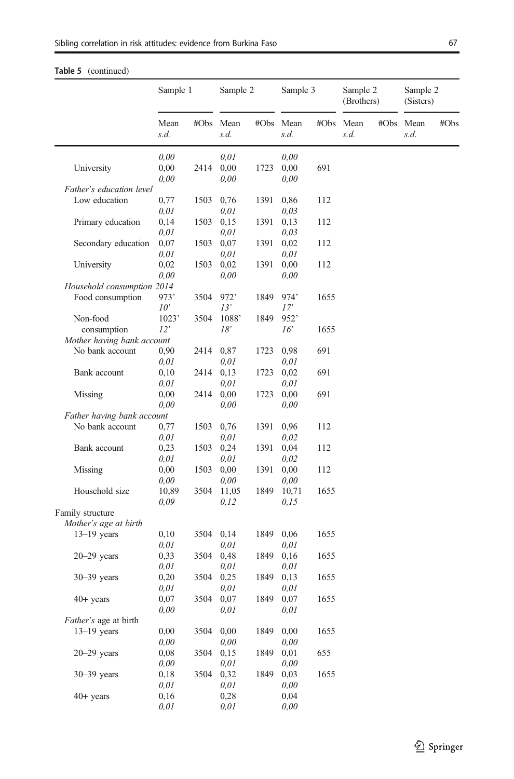## Table 5 (continued)

|                            | Sample 1             |      | Sample 2             |           | Sample 3             |      | Sample 2<br>(Brothers) | Sample 2<br>(Sisters) |      |
|----------------------------|----------------------|------|----------------------|-----------|----------------------|------|------------------------|-----------------------|------|
|                            | Mean<br>s.d.         |      | #Obs Mean<br>s.d.    |           | #Obs Mean<br>s.d.    |      | #Obs Mean<br>s.d.      | #Obs Mean<br>s.d.     | #Obs |
| University                 | 0,00<br>0,00<br>0,00 | 2414 | 0.01<br>0,00<br>0,00 | 1723      | 0.00<br>0,00<br>0,00 | 691  |                        |                       |      |
| Father's education level   |                      |      |                      |           |                      |      |                        |                       |      |
| Low education              | 0,77                 | 1503 | 0,76                 | 1391      | 0,86                 | 112  |                        |                       |      |
|                            | 0,01                 |      | 0,01                 |           | 0,03                 |      |                        |                       |      |
| Primary education          | 0,14                 | 1503 | 0,15                 | 1391      | 0,13                 | 112  |                        |                       |      |
|                            | 0,01                 |      | 0,01                 |           | 0,03                 |      |                        |                       |      |
| Secondary education        | 0,07                 | 1503 | 0,07                 | 1391      | 0,02                 | 112  |                        |                       |      |
|                            | 0,01                 |      | 0,01                 |           | 0,01                 |      |                        |                       |      |
| University                 | 0,02                 | 1503 | 0,02                 | 1391      | 0,00                 | 112  |                        |                       |      |
|                            | 0,00                 |      | 0,00                 |           | 0,00                 |      |                        |                       |      |
| Household consumption 2014 |                      |      |                      |           |                      |      |                        |                       |      |
| Food consumption           | 973'                 | 3504 | 972'                 | 1849      | 974'                 | 1655 |                        |                       |      |
|                            | $10^{\circ}$         |      | 13'                  |           | 17'                  |      |                        |                       |      |
| Non-food                   | 1023'                | 3504 | 1088'                | 1849      | 952'                 |      |                        |                       |      |
| consumption                | 12'                  |      | 18'                  |           | 16'                  | 1655 |                        |                       |      |
| Mother having bank account |                      |      |                      |           |                      |      |                        |                       |      |
| No bank account            | 0,90                 | 2414 | 0,87                 | 1723      | 0,98                 | 691  |                        |                       |      |
|                            | 0,01                 |      | 0,01                 |           | 0,01                 |      |                        |                       |      |
| Bank account               | 0,10                 | 2414 | 0,13                 | 1723      | 0,02                 | 691  |                        |                       |      |
|                            | 0,01                 |      | 0.01                 |           | 0,01                 |      |                        |                       |      |
| Missing                    | 0,00                 | 2414 | 0,00                 | 1723      | 0,00                 | 691  |                        |                       |      |
|                            | 0,00                 |      | 0,00                 |           | 0,00                 |      |                        |                       |      |
| Father having bank account |                      |      |                      |           |                      |      |                        |                       |      |
| No bank account            | 0,77                 | 1503 | 0,76                 | 1391      | 0,96                 | 112  |                        |                       |      |
|                            | 0,01                 |      | 0.01                 |           | 0.02                 |      |                        |                       |      |
| Bank account               | 0,23                 | 1503 | 0,24                 | 1391      | 0,04                 | 112  |                        |                       |      |
|                            | 0,01                 |      | 0.01                 |           | 0.02                 |      |                        |                       |      |
| Missing                    | 0,00                 | 1503 | 0,00                 | 1391      | 0,00                 | 112  |                        |                       |      |
|                            | 0,00                 |      | 0,00                 |           | 0,00                 |      |                        |                       |      |
| Household size             | 10,89                | 3504 | 11,05                | 1849      | 10,71                | 1655 |                        |                       |      |
|                            | 0,09                 |      | 0,12                 |           | 0,15                 |      |                        |                       |      |
| Family structure           |                      |      |                      |           |                      |      |                        |                       |      |
| Mother's age at birth      |                      |      |                      |           |                      |      |                        |                       |      |
| $13-19$ years              | 0,10                 | 3504 | 0,14                 | 1849      | 0,06                 | 1655 |                        |                       |      |
|                            | 0,01                 |      | 0,01                 |           | 0,01                 |      |                        |                       |      |
| $20 - 29$ years            | 0,33                 | 3504 | 0,48                 | 1849      | 0,16                 | 1655 |                        |                       |      |
|                            | 0,01                 |      | 0,01                 |           | 0,01                 |      |                        |                       |      |
| $30 - 39$ years            | 0,20                 | 3504 | 0,25                 | 1849      | 0,13                 | 1655 |                        |                       |      |
|                            | 0,01                 |      | 0.01                 |           | 0.01                 |      |                        |                       |      |
|                            |                      | 3504 |                      | 1849 0,07 |                      | 1655 |                        |                       |      |
| $40+$ years                | 0,07<br>0,00         |      | 0,07<br>0,01         |           | 0,01                 |      |                        |                       |      |
| Father's age at birth      |                      |      |                      |           |                      |      |                        |                       |      |
| $13-19$ years              | 0,00                 | 3504 | 0,00                 | 1849      | 0,00                 | 1655 |                        |                       |      |
|                            |                      |      |                      |           |                      |      |                        |                       |      |
|                            | 0,00                 |      | 0,00                 |           | 0,00                 |      |                        |                       |      |
| $20 - 29$ years            | 0,08                 | 3504 | 0,15                 | 1849      | 0,01                 | 655  |                        |                       |      |
|                            | 0,00                 |      | 0,01                 |           | 0,00                 |      |                        |                       |      |
| $30 - 39$ years            | 0,18                 | 3504 | 0,32                 | 1849      | 0,03                 | 1655 |                        |                       |      |
|                            | 0,01                 |      | 0,01                 |           | 0,00                 |      |                        |                       |      |
| $40+$ years                | 0,16                 |      | 0,28                 |           | 0,04                 |      |                        |                       |      |
|                            | 0,01                 |      | 0,01                 |           | 0,00                 |      |                        |                       |      |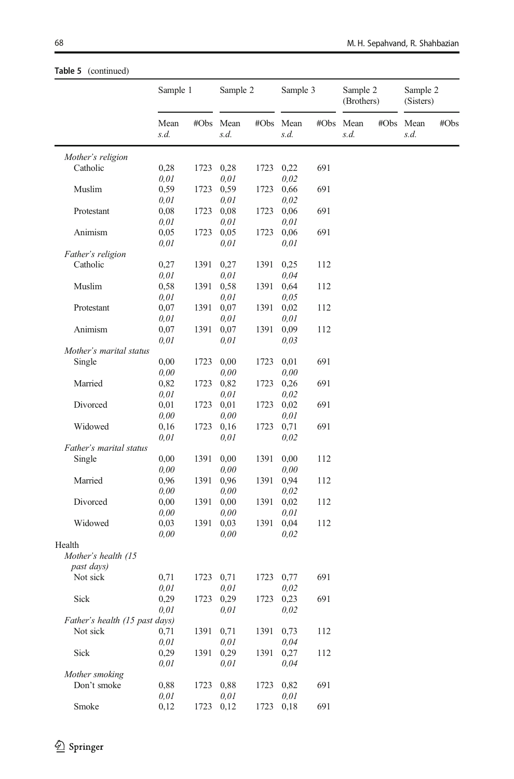|                                | Sample 1     |      | Sample 2          |           | Sample 3          |     | Sample 2<br>(Brothers) | Sample 2<br>(Sisters) |      |
|--------------------------------|--------------|------|-------------------|-----------|-------------------|-----|------------------------|-----------------------|------|
|                                | Mean<br>s.d. |      | #Obs Mean<br>s.d. |           | #Obs Mean<br>s.d. |     | #Obs Mean<br>s.d.      | #Obs Mean<br>s.d.     | #Obs |
| Mother's religion              |              |      |                   |           |                   |     |                        |                       |      |
| Catholic                       | 0,28         | 1723 | 0,28              | 1723      | 0,22              | 691 |                        |                       |      |
|                                | 0,01         |      | 0.01              |           | 0,02              |     |                        |                       |      |
| Muslim                         | 0,59         | 1723 | 0,59              | 1723      | 0,66              | 691 |                        |                       |      |
|                                | 0,01         |      | 0.01              |           | 0.02              |     |                        |                       |      |
| Protestant                     | 0,08         | 1723 | 0,08              | 1723      | 0,06              | 691 |                        |                       |      |
|                                | 0,01         |      | 0.01              |           | 0,01              |     |                        |                       |      |
| Animism                        | 0,05         | 1723 | 0,05              | 1723      | 0,06              | 691 |                        |                       |      |
|                                | 0,01         |      | 0,01              |           | 0,01              |     |                        |                       |      |
| Father's religion              |              |      |                   |           |                   |     |                        |                       |      |
| Catholic                       | 0,27         | 1391 | 0,27              | 1391      | 0,25              | 112 |                        |                       |      |
|                                | 0,01         |      | 0,01              |           | 0,04              |     |                        |                       |      |
| Muslim                         | 0,58         | 1391 | 0,58              | 1391      | 0,64              | 112 |                        |                       |      |
|                                | 0,01         |      | 0,01              |           | 0,05              |     |                        |                       |      |
| Protestant                     | 0,07         | 1391 | 0,07              | 1391      | 0,02              | 112 |                        |                       |      |
|                                | 0,01         |      | 0,01              |           | 0,01              |     |                        |                       |      |
| Animism                        | 0,07         | 1391 | 0,07              | 1391      | 0,09              | 112 |                        |                       |      |
|                                | 0,01         |      | 0,01              |           | 0,03              |     |                        |                       |      |
| Mother's marital status        |              |      |                   |           |                   |     |                        |                       |      |
| Single                         | 0,00         |      |                   |           |                   | 691 |                        |                       |      |
|                                | 0,00         | 1723 | 0,00              | 1723      | 0,01<br>0,00      |     |                        |                       |      |
|                                |              |      | 0,00              |           |                   |     |                        |                       |      |
| Married                        | 0,82         | 1723 | 0,82              | 1723      | 0,26              | 691 |                        |                       |      |
|                                | 0,01         |      | 0,01              |           | 0,02              |     |                        |                       |      |
| Divorced                       | 0,01         | 1723 | 0,01              | 1723      | 0,02              | 691 |                        |                       |      |
|                                | 0,00         |      | 0,00              |           | 0,01              |     |                        |                       |      |
| Widowed                        | 0,16         | 1723 | 0,16              | 1723      | 0,71              | 691 |                        |                       |      |
|                                | 0,01         |      | 0,01              |           | 0,02              |     |                        |                       |      |
| Father's marital status        |              |      |                   |           |                   |     |                        |                       |      |
| Single                         | 0,00         | 1391 | 0,00              | 1391      | 0,00              | 112 |                        |                       |      |
|                                | 0,00         |      | 0,00              |           | 0,00              |     |                        |                       |      |
| Married                        | 0,96         | 1391 | 0,96              | 1391      | 0,94              | 112 |                        |                       |      |
|                                | 0,00         |      | 0,00              |           | 0,02              |     |                        |                       |      |
| Divorced                       | 0,00         | 1391 | 0,00              | 1391      | 0,02              | 112 |                        |                       |      |
|                                | 0,00         |      | 0,00              |           | 0,01              |     |                        |                       |      |
| Widowed                        | 0,03         | 1391 | 0,03              | 1391      | 0,04              | 112 |                        |                       |      |
|                                | 0,00         |      | 0,00              |           | 0,02              |     |                        |                       |      |
| Health                         |              |      |                   |           |                   |     |                        |                       |      |
| Mother's health (15            |              |      |                   |           |                   |     |                        |                       |      |
| past days)                     |              |      |                   |           |                   |     |                        |                       |      |
| Not sick                       | 0,71         | 1723 | 0,71              | 1723      | 0,77              | 691 |                        |                       |      |
|                                | 0,01         |      | 0,01              |           | 0,02              |     |                        |                       |      |
| Sick                           | 0,29         | 1723 | 0,29              | 1723 0,23 |                   | 691 |                        |                       |      |
|                                | 0,01         |      | 0,01              |           | 0,02              |     |                        |                       |      |
| Father's health (15 past days) |              |      |                   |           |                   |     |                        |                       |      |
| Not sick                       | 0,71         | 1391 | 0,71              | 1391      | 0,73              | 112 |                        |                       |      |
|                                | 0,01         |      | 0.01              |           | 0,04              |     |                        |                       |      |
| Sick                           | 0,29         | 1391 | 0,29              | 1391      | 0,27              | 112 |                        |                       |      |
|                                | 0,01         |      | 0,01              |           | 0,04              |     |                        |                       |      |
| Mother smoking                 |              |      |                   |           |                   |     |                        |                       |      |
| Don't smoke                    | 0,88         | 1723 | 0,88              | 1723      | 0,82              | 691 |                        |                       |      |
|                                | 0,01         |      | 0,01              |           | $0.01\,$          |     |                        |                       |      |
| Smoke                          | 0,12         | 1723 | 0,12              | 1723      | 0,18              | 691 |                        |                       |      |

## Table 5 (continued)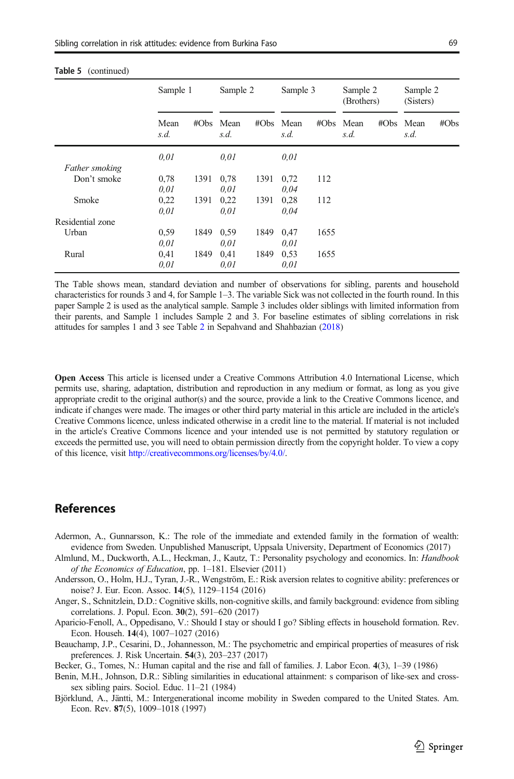|                  | Sample 1     |      | Sample 2          |      | Sample 3          |      | Sample 2<br>(Brothers) |      | Sample 2<br>(Sisters) |      |
|------------------|--------------|------|-------------------|------|-------------------|------|------------------------|------|-----------------------|------|
|                  | Mean<br>s.d. |      | #Obs Mean<br>s.d. |      | #Obs Mean<br>s.d. |      | #Obs Mean<br>s.d.      | #Obs | Mean<br>s.d.          | #Obs |
|                  | 0.01         |      | 0.01              |      | 0.01              |      |                        |      |                       |      |
| Father smoking   |              |      |                   |      |                   |      |                        |      |                       |      |
| Don't smoke      | 0,78         | 1391 | 0.78              | 1391 | 0,72              | 112  |                        |      |                       |      |
|                  | 0.01         |      | 0.01              |      | 0.04              |      |                        |      |                       |      |
| Smoke            | 0,22         | 1391 | 0,22              | 1391 | 0.28              | 112  |                        |      |                       |      |
|                  | 0.01         |      | 0.01              |      | 0.04              |      |                        |      |                       |      |
| Residential zone |              |      |                   |      |                   |      |                        |      |                       |      |
| Urban            | 0,59         | 1849 | 0,59              | 1849 | 0,47              | 1655 |                        |      |                       |      |
|                  | 0.01         |      | 0.01              |      | 0.01              |      |                        |      |                       |      |
| Rural            | 0,41         | 1849 | 0.41              | 1849 | 0,53              | 1655 |                        |      |                       |      |
|                  | 0.01         |      | 0.01              |      | 0.01              |      |                        |      |                       |      |

#### <span id="page-24-0"></span>Table 5 (continued)

The Table shows mean, standard deviation and number of observations for sibling, parents and household characteristics for rounds 3 and 4, for Sample 1–3. The variable Sick was not collected in the fourth round. In this paper Sample 2 is used as the analytical sample. Sample 3 includes older siblings with limited information from their parents, and Sample 1 includes Sample 2 and 3. For baseline estimates of sibling correlations in risk attitudes for samples 1 and 3 see Table [2](#page-14-0) in Sepahvand and Shahbazian [\(2018](#page-27-0))

Open Access This article is licensed under a Creative Commons Attribution 4.0 International License, which permits use, sharing, adaptation, distribution and reproduction in any medium or format, as long as you give appropriate credit to the original author(s) and the source, provide a link to the Creative Commons licence, and indicate if changes were made. The images or other third party material in this article are included in the article's Creative Commons licence, unless indicated otherwise in a credit line to the material. If material is not included in the article's Creative Commons licence and your intended use is not permitted by statutory regulation or exceeds the permitted use, you will need to obtain permission directly from the copyright holder. To view a copy of this licence, visit [http://creativecommons.org/licenses/by/4.0/.](https://doi.org/)

## References

- Adermon, A., Gunnarsson, K.: The role of the immediate and extended family in the formation of wealth: evidence from Sweden. Unpublished Manuscript, Uppsala University, Department of Economics (2017)
- Almlund, M., Duckworth, A.L., Heckman, J., Kautz, T.: Personality psychology and economics. In: *Handbook* of the Economics of Education, pp. 1–181. Elsevier (2011)
- Andersson, O., Holm, H.J., Tyran, J.-R., Wengström, E.: Risk aversion relates to cognitive ability: preferences or noise? J. Eur. Econ. Assoc. 14(5), 1129–1154 (2016)
- Anger, S., Schnitzlein, D.D.: Cognitive skills, non-cognitive skills, and family background: evidence from sibling correlations. J. Popul. Econ. 30(2), 591–620 (2017)
- Aparicio-Fenoll, A., Oppedisano, V.: Should I stay or should I go? Sibling effects in household formation. Rev. Econ. Househ. 14(4), 1007–1027 (2016)
- Beauchamp, J.P., Cesarini, D., Johannesson, M.: The psychometric and empirical properties of measures of risk preferences. J. Risk Uncertain. 54(3), 203–237 (2017)
- Becker, G., Tomes, N.: Human capital and the rise and fall of families. J. Labor Econ. 4(3), 1–39 (1986)
- Benin, M.H., Johnson, D.R.: Sibling similarities in educational attainment: s comparison of like-sex and crosssex sibling pairs. Sociol. Educ. 11–21 (1984)
- Björklund, A., Jäntti, M.: Intergenerational income mobility in Sweden compared to the United States. Am. Econ. Rev. 87(5), 1009–1018 (1997)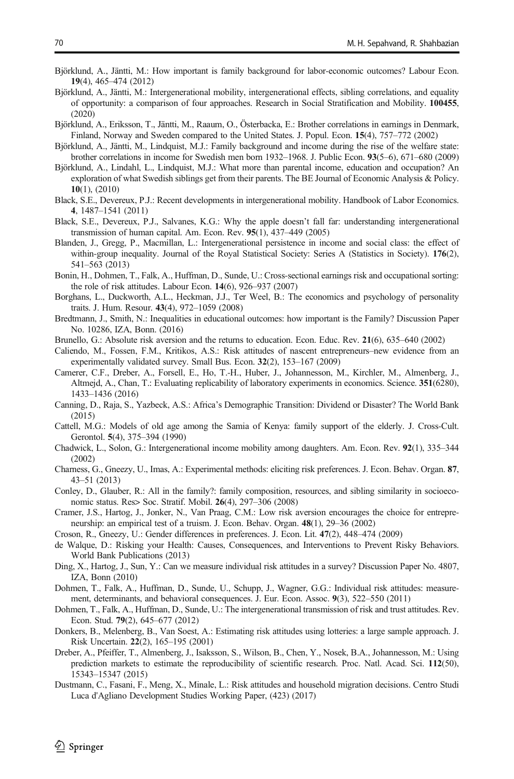- <span id="page-25-0"></span>Björklund, A., Jäntti, M.: How important is family background for labor-economic outcomes? Labour Econ. 19(4), 465–474 (2012)
- Björklund, A., Jäntti, M.: Intergenerational mobility, intergenerational effects, sibling correlations, and equality of opportunity: a comparison of four approaches. Research in Social Stratification and Mobility. 100455, (2020)
- Björklund, A., Eriksson, T., Jäntti, M., Raaum, O., Österbacka, E.: Brother correlations in earnings in Denmark, Finland, Norway and Sweden compared to the United States. J. Popul. Econ. 15(4), 757–772 (2002)
- Björklund, A., Jäntti, M., Lindquist, M.J.: Family background and income during the rise of the welfare state: brother correlations in income for Swedish men born 1932–1968. J. Public Econ. 93(5–6), 671–680 (2009)
- Björklund, A., Lindahl, L., Lindquist, M.J.: What more than parental income, education and occupation? An exploration of what Swedish siblings get from their parents. The BE Journal of Economic Analysis & Policy. 10(1), (2010)
- Black, S.E., Devereux, P.J.: Recent developments in intergenerational mobility. Handbook of Labor Economics. 4, 1487–1541 (2011)
- Black, S.E., Devereux, P.J., Salvanes, K.G.: Why the apple doesn't fall far: understanding intergenerational transmission of human capital. Am. Econ. Rev. 95(1), 437–449 (2005)
- Blanden, J., Gregg, P., Macmillan, L.: Intergenerational persistence in income and social class: the effect of within-group inequality. Journal of the Royal Statistical Society: Series A (Statistics in Society). 176(2), 541–563 (2013)
- Bonin, H., Dohmen, T., Falk, A., Huffman, D., Sunde, U.: Cross-sectional earnings risk and occupational sorting: the role of risk attitudes. Labour Econ. 14(6), 926–937 (2007)
- Borghans, L., Duckworth, A.L., Heckman, J.J., Ter Weel, B.: The economics and psychology of personality traits. J. Hum. Resour. 43(4), 972–1059 (2008)
- Bredtmann, J., Smith, N.: Inequalities in educational outcomes: how important is the Family? Discussion Paper No. 10286, IZA, Bonn. (2016)
- Brunello, G.: Absolute risk aversion and the returns to education. Econ. Educ. Rev. 21(6), 635–640 (2002)
- Caliendo, M., Fossen, F.M., Kritikos, A.S.: Risk attitudes of nascent entrepreneurs–new evidence from an experimentally validated survey. Small Bus. Econ. 32(2), 153–167 (2009)
- Camerer, C.F., Dreber, A., Forsell, E., Ho, T.-H., Huber, J., Johannesson, M., Kirchler, M., Almenberg, J., Altmejd, A., Chan, T.: Evaluating replicability of laboratory experiments in economics. Science. 351(6280), 1433–1436 (2016)
- Canning, D., Raja, S., Yazbeck, A.S.: Africa's Demographic Transition: Dividend or Disaster? The World Bank (2015)
- Cattell, M.G.: Models of old age among the Samia of Kenya: family support of the elderly. J. Cross-Cult. Gerontol. 5(4), 375–394 (1990)
- Chadwick, L., Solon, G.: Intergenerational income mobility among daughters. Am. Econ. Rev. 92(1), 335–344 (2002)
- Charness, G., Gneezy, U., Imas, A.: Experimental methods: eliciting risk preferences. J. Econ. Behav. Organ. 87, 43–51 (2013)
- Conley, D., Glauber, R.: All in the family?: family composition, resources, and sibling similarity in socioeconomic status. Res> Soc. Stratif. Mobil. 26(4), 297–306 (2008)
- Cramer, J.S., Hartog, J., Jonker, N., Van Praag, C.M.: Low risk aversion encourages the choice for entrepreneurship: an empirical test of a truism. J. Econ. Behav. Organ. 48(1), 29–36 (2002)
- Croson, R., Gneezy, U.: Gender differences in preferences. J. Econ. Lit. 47(2), 448–474 (2009)
- de Walque, D.: Risking your Health: Causes, Consequences, and Interventions to Prevent Risky Behaviors. World Bank Publications (2013)
- Ding, X., Hartog, J., Sun, Y.: Can we measure individual risk attitudes in a survey? Discussion Paper No. 4807, IZA, Bonn (2010)
- Dohmen, T., Falk, A., Huffman, D., Sunde, U., Schupp, J., Wagner, G.G.: Individual risk attitudes: measurement, determinants, and behavioral consequences. J. Eur. Econ. Assoc. 9(3), 522–550 (2011)
- Dohmen, T., Falk, A., Huffman, D., Sunde, U.: The intergenerational transmission of risk and trust attitudes. Rev. Econ. Stud. 79(2), 645–677 (2012)
- Donkers, B., Melenberg, B., Van Soest, A.: Estimating risk attitudes using lotteries: a large sample approach. J. Risk Uncertain. 22(2), 165–195 (2001)
- Dreber, A., Pfeiffer, T., Almenberg, J., Isaksson, S., Wilson, B., Chen, Y., Nosek, B.A., Johannesson, M.: Using prediction markets to estimate the reproducibility of scientific research. Proc. Natl. Acad. Sci. 112(50), 15343–15347 (2015)
- Dustmann, C., Fasani, F., Meng, X., Minale, L.: Risk attitudes and household migration decisions. Centro Studi Luca d'Agliano Development Studies Working Paper, (423) (2017)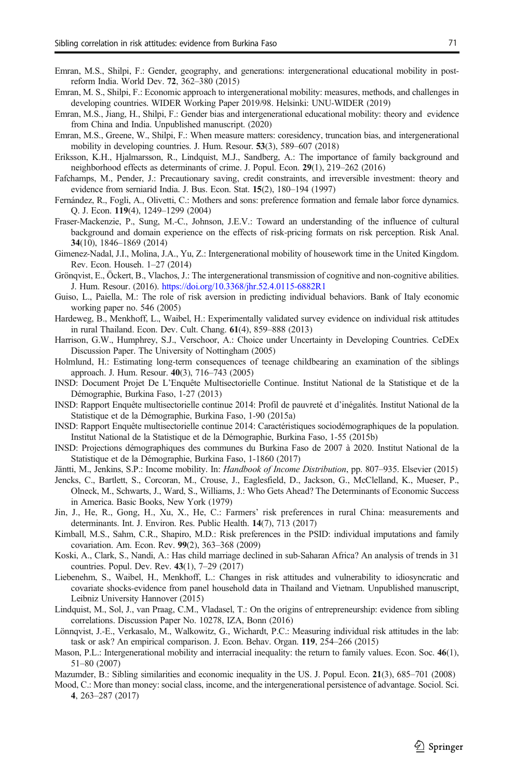- <span id="page-26-0"></span>Emran, M.S., Shilpi, F.: Gender, geography, and generations: intergenerational educational mobility in postreform India. World Dev. 72, 362–380 (2015)
- Emran, M. S., Shilpi, F.: Economic approach to intergenerational mobility: measures, methods, and challenges in developing countries. WIDER Working Paper 2019/98. Helsinki: UNU-WIDER (2019)
- Emran, M.S., Jiang, H., Shilpi, F.: Gender bias and intergenerational educational mobility: theory and evidence from China and India. Unpublished manuscript. (2020)
- Emran, M.S., Greene, W., Shilpi, F.: When measure matters: coresidency, truncation bias, and intergenerational mobility in developing countries. J. Hum. Resour. 53(3), 589–607 (2018)
- Eriksson, K.H., Hjalmarsson, R., Lindquist, M.J., Sandberg, A.: The importance of family background and neighborhood effects as determinants of crime. J. Popul. Econ. 29(1), 219–262 (2016)
- Fafchamps, M., Pender, J.: Precautionary saving, credit constraints, and irreversible investment: theory and evidence from serniarid India. J. Bus. Econ. Stat. 15(2), 180–194 (1997)
- Fernández, R., Fogli, A., Olivetti, C.: Mothers and sons: preference formation and female labor force dynamics. Q. J. Econ. 119(4), 1249–1299 (2004)
- Fraser-Mackenzie, P., Sung, M.-C., Johnson, J.E.V.: Toward an understanding of the influence of cultural background and domain experience on the effects of risk-pricing formats on risk perception. Risk Anal. 34(10), 1846–1869 (2014)
- Gimenez-Nadal, J.I., Molina, J.A., Yu, Z.: Intergenerational mobility of housework time in the United Kingdom. Rev. Econ. Househ. 1–27 (2014)
- Grönqvist, E., Öckert, B., Vlachos, J.: The intergenerational transmission of cognitive and non-cognitive abilities. J. Hum. Resour. (2016). <https://doi.org/10.3368/jhr.52.4.0115-6882R1>
- Guiso, L., Paiella, M.: The role of risk aversion in predicting individual behaviors. Bank of Italy economic working paper no. 546 (2005)
- Hardeweg, B., Menkhoff, L., Waibel, H.: Experimentally validated survey evidence on individual risk attitudes in rural Thailand. Econ. Dev. Cult. Chang. 61(4), 859–888 (2013)
- Harrison, G.W., Humphrey, S.J., Verschoor, A.: Choice under Uncertainty in Developing Countries. CeDEx Discussion Paper. The University of Nottingham (2005)
- Holmlund, H.: Estimating long-term consequences of teenage childbearing an examination of the siblings approach. J. Hum. Resour. 40(3), 716–743 (2005)
- INSD: Document Projet De L'Enquête Multisectorielle Continue. Institut National de la Statistique et de la Démographie, Burkina Faso, 1-27 (2013)
- INSD: Rapport Enquête multisectorielle continue 2014: Profil de pauvreté et d'inégalités. Institut National de la Statistique et de la Démographie, Burkina Faso, 1-90 (2015a)
- INSD: Rapport Enquête multisectorielle continue 2014: Caractéristiques sociodémographiques de la population. Institut National de la Statistique et de la Démographie, Burkina Faso, 1-55 (2015b)
- INSD: Projections démographiques des communes du Burkina Faso de 2007 à 2020. Institut National de la Statistique et de la Démographie, Burkina Faso, 1-1860 (2017)
- Jäntti, M., Jenkins, S.P.: Income mobility. In: Handbook of Income Distribution, pp. 807–935. Elsevier (2015)
- Jencks, C., Bartlett, S., Corcoran, M., Crouse, J., Eaglesfield, D., Jackson, G., McClelland, K., Mueser, P., Olneck, M., Schwarts, J., Ward, S., Williams, J.: Who Gets Ahead? The Determinants of Economic Success in America. Basic Books, New York (1979)
- Jin, J., He, R., Gong, H., Xu, X., He, C.: Farmers' risk preferences in rural China: measurements and determinants. Int. J. Environ. Res. Public Health. 14(7), 713 (2017)
- Kimball, M.S., Sahm, C.R., Shapiro, M.D.: Risk preferences in the PSID: individual imputations and family covariation. Am. Econ. Rev. 99(2), 363–368 (2009)
- Koski, A., Clark, S., Nandi, A.: Has child marriage declined in sub-Saharan Africa? An analysis of trends in 31 countries. Popul. Dev. Rev. 43(1), 7–29 (2017)
- Liebenehm, S., Waibel, H., Menkhoff, L.: Changes in risk attitudes and vulnerability to idiosyncratic and covariate shocks-evidence from panel household data in Thailand and Vietnam. Unpublished manuscript, Leibniz University Hannover (2015)
- Lindquist, M., Sol, J., van Praag, C.M., Vladasel, T.: On the origins of entrepreneurship: evidence from sibling correlations. Discussion Paper No. 10278, IZA, Bonn (2016)
- Lönnqvist, J.-E., Verkasalo, M., Walkowitz, G., Wichardt, P.C.: Measuring individual risk attitudes in the lab: task or ask? An empirical comparison. J. Econ. Behav. Organ. 119, 254–266 (2015)
- Mason, P.L.: Intergenerational mobility and interracial inequality: the return to family values. Econ. Soc. 46(1), 51–80 (2007)
- Mazumder, B.: Sibling similarities and economic inequality in the US. J. Popul. Econ. 21(3), 685–701 (2008)
- Mood, C.: More than money: social class, income, and the intergenerational persistence of advantage. Sociol. Sci. 4, 263–287 (2017)